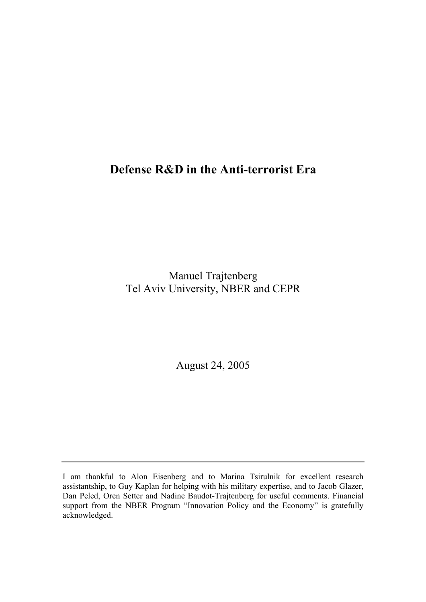# **Defense R&D in the Anti-terrorist Era**

Manuel Trajtenberg Tel Aviv University, NBER and CEPR

August 24, 2005

I am thankful to Alon Eisenberg and to Marina Tsirulnik for excellent research assistantship, to Guy Kaplan for helping with his military expertise, and to Jacob Glazer, Dan Peled, Oren Setter and Nadine Baudot-Trajtenberg for useful comments. Financial support from the NBER Program "Innovation Policy and the Economy" is gratefully acknowledged.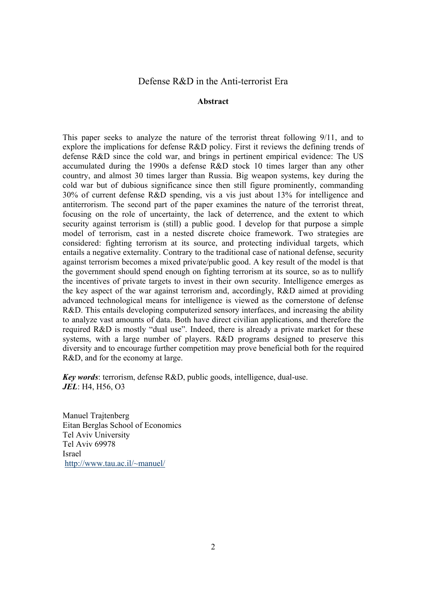#### Defense R&D in the Anti-terrorist Era

#### **Abstract**

This paper seeks to analyze the nature of the terrorist threat following 9/11, and to explore the implications for defense R&D policy. First it reviews the defining trends of defense R&D since the cold war, and brings in pertinent empirical evidence: The US accumulated during the 1990s a defense R&D stock 10 times larger than any other country, and almost 30 times larger than Russia. Big weapon systems, key during the cold war but of dubious significance since then still figure prominently, commanding 30% of current defense R&D spending, vis a vis just about 13% for intelligence and antiterrorism. The second part of the paper examines the nature of the terrorist threat, focusing on the role of uncertainty, the lack of deterrence, and the extent to which security against terrorism is (still) a public good. I develop for that purpose a simple model of terrorism, cast in a nested discrete choice framework. Two strategies are considered: fighting terrorism at its source, and protecting individual targets, which entails a negative externality. Contrary to the traditional case of national defense, security against terrorism becomes a mixed private/public good. A key result of the model is that the government should spend enough on fighting terrorism at its source, so as to nullify the incentives of private targets to invest in their own security. Intelligence emerges as the key aspect of the war against terrorism and, accordingly, R&D aimed at providing advanced technological means for intelligence is viewed as the cornerstone of defense R&D. This entails developing computerized sensory interfaces, and increasing the ability to analyze vast amounts of data. Both have direct civilian applications, and therefore the required R&D is mostly "dual use". Indeed, there is already a private market for these systems, with a large number of players. R&D programs designed to preserve this diversity and to encourage further competition may prove beneficial both for the required R&D, and for the economy at large.

*Key words*: terrorism, defense R&D, public goods, intelligence, dual-use. *JEL*: H4, H56, O3

Manuel Traitenberg Eitan Berglas School of Economics Tel Aviv University Tel Aviv 69978 Israel http://www.tau.ac.il/~manuel/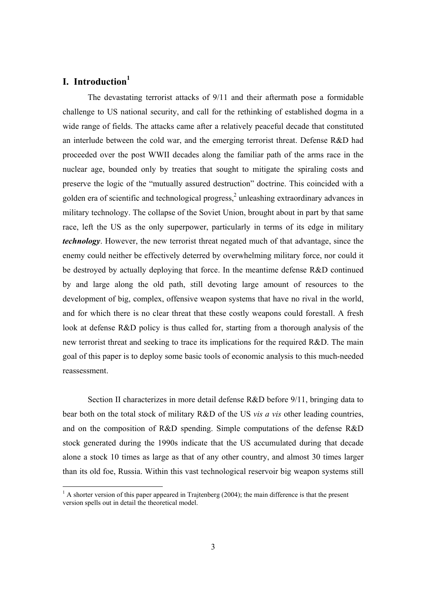## **I.** Introduction<sup>1</sup>

 The devastating terrorist attacks of 9/11 and their aftermath pose a formidable challenge to US national security, and call for the rethinking of established dogma in a wide range of fields. The attacks came after a relatively peaceful decade that constituted an interlude between the cold war, and the emerging terrorist threat. Defense R&D had proceeded over the post WWII decades along the familiar path of the arms race in the nuclear age, bounded only by treaties that sought to mitigate the spiraling costs and preserve the logic of the "mutually assured destruction" doctrine. This coincided with a golden era of scientific and technological progress, $<sup>2</sup>$  unleashing extraordinary advances in</sup> military technology. The collapse of the Soviet Union, brought about in part by that same race, left the US as the only superpower, particularly in terms of its edge in military *technology*. However, the new terrorist threat negated much of that advantage, since the enemy could neither be effectively deterred by overwhelming military force, nor could it be destroyed by actually deploying that force. In the meantime defense R&D continued by and large along the old path, still devoting large amount of resources to the development of big, complex, offensive weapon systems that have no rival in the world, and for which there is no clear threat that these costly weapons could forestall. A fresh look at defense R&D policy is thus called for, starting from a thorough analysis of the new terrorist threat and seeking to trace its implications for the required R&D. The main goal of this paper is to deploy some basic tools of economic analysis to this much-needed reassessment.

 Section II characterizes in more detail defense R&D before 9/11, bringing data to bear both on the total stock of military R&D of the US *vis a vis* other leading countries, and on the composition of R&D spending. Simple computations of the defense R&D stock generated during the 1990s indicate that the US accumulated during that decade alone a stock 10 times as large as that of any other country, and almost 30 times larger than its old foe, Russia. Within this vast technological reservoir big weapon systems still

<sup>&</sup>lt;sup>1</sup> A shorter version of this paper appeared in Trajtenberg (2004); the main difference is that the present version spells out in detail the theoretical model.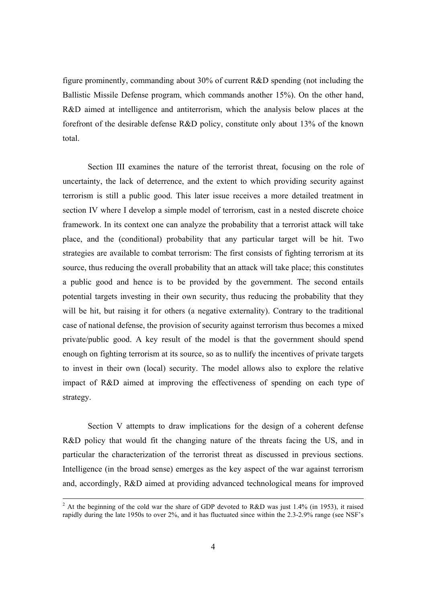figure prominently, commanding about 30% of current R&D spending (not including the Ballistic Missile Defense program, which commands another 15%). On the other hand, R&D aimed at intelligence and antiterrorism, which the analysis below places at the forefront of the desirable defense R&D policy, constitute only about 13% of the known total.

 Section III examines the nature of the terrorist threat, focusing on the role of uncertainty, the lack of deterrence, and the extent to which providing security against terrorism is still a public good. This later issue receives a more detailed treatment in section IV where I develop a simple model of terrorism, cast in a nested discrete choice framework. In its context one can analyze the probability that a terrorist attack will take place, and the (conditional) probability that any particular target will be hit. Two strategies are available to combat terrorism: The first consists of fighting terrorism at its source, thus reducing the overall probability that an attack will take place; this constitutes a public good and hence is to be provided by the government. The second entails potential targets investing in their own security, thus reducing the probability that they will be hit, but raising it for others (a negative externality). Contrary to the traditional case of national defense, the provision of security against terrorism thus becomes a mixed private/public good. A key result of the model is that the government should spend enough on fighting terrorism at its source, so as to nullify the incentives of private targets to invest in their own (local) security. The model allows also to explore the relative impact of R&D aimed at improving the effectiveness of spending on each type of strategy.

 Section V attempts to draw implications for the design of a coherent defense R&D policy that would fit the changing nature of the threats facing the US, and in particular the characterization of the terrorist threat as discussed in previous sections. Intelligence (in the broad sense) emerges as the key aspect of the war against terrorism and, accordingly, R&D aimed at providing advanced technological means for improved

 $\frac{1}{2}$ <sup>2</sup> At the beginning of the cold war the share of GDP devoted to R&D was just 1.4% (in 1953), it raised rapidly during the late 1950s to over 2%, and it has fluctuated since within the 2.3-2.9% range (see NSF's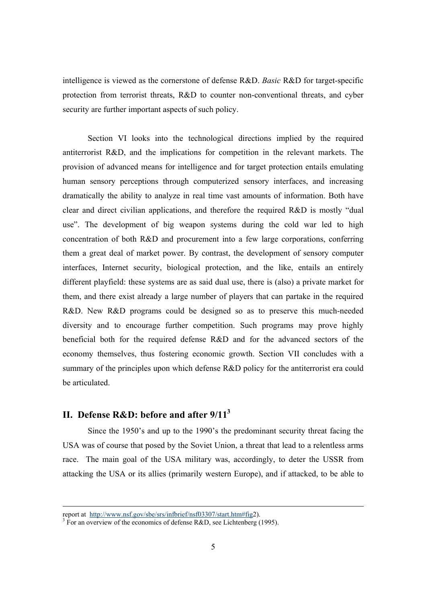intelligence is viewed as the cornerstone of defense R&D. *Basic* R&D for target-specific protection from terrorist threats, R&D to counter non-conventional threats, and cyber security are further important aspects of such policy.

Section VI looks into the technological directions implied by the required antiterrorist R&D, and the implications for competition in the relevant markets. The provision of advanced means for intelligence and for target protection entails emulating human sensory perceptions through computerized sensory interfaces, and increasing dramatically the ability to analyze in real time vast amounts of information. Both have clear and direct civilian applications, and therefore the required R&D is mostly "dual use". The development of big weapon systems during the cold war led to high concentration of both R&D and procurement into a few large corporations, conferring them a great deal of market power. By contrast, the development of sensory computer interfaces, Internet security, biological protection, and the like, entails an entirely different playfield: these systems are as said dual use, there is (also) a private market for them, and there exist already a large number of players that can partake in the required R&D. New R&D programs could be designed so as to preserve this much-needed diversity and to encourage further competition. Such programs may prove highly beneficial both for the required defense R&D and for the advanced sectors of the economy themselves, thus fostering economic growth. Section VII concludes with a summary of the principles upon which defense R&D policy for the antiterrorist era could be articulated.

## **II. Defense R&D: before and after 9/113**

Since the 1950's and up to the 1990's the predominant security threat facing the USA was of course that posed by the Soviet Union, a threat that lead to a relentless arms race. The main goal of the USA military was, accordingly, to deter the USSR from attacking the USA or its allies (primarily western Europe), and if attacked, to be able to

report at http://www.nsf.gov/sbe/srs/infbrief/nsf03307/start.htm#fig2).

 $^3$  For an overview of the economics of defense R&D, see Lichtenberg (1995).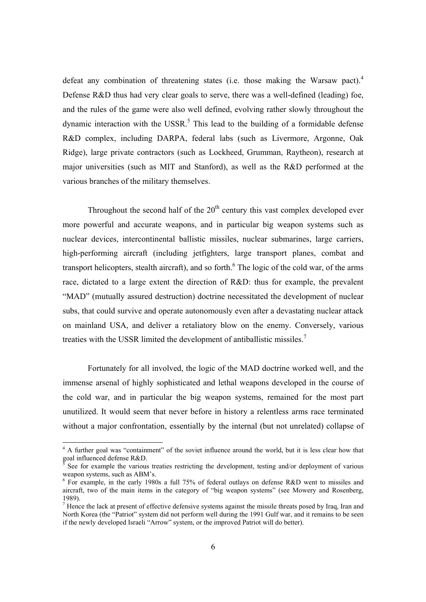defeat any combination of threatening states (i.e. those making the Warsaw pact).<sup>4</sup> Defense R&D thus had very clear goals to serve, there was a well-defined (leading) foe, and the rules of the game were also well defined, evolving rather slowly throughout the dynamic interaction with the USSR.<sup>5</sup> This lead to the building of a formidable defense R&D complex, including DARPA, federal labs (such as Livermore, Argonne, Oak Ridge), large private contractors (such as Lockheed, Grumman, Raytheon), research at major universities (such as MIT and Stanford), as well as the R&D performed at the various branches of the military themselves.

Throughout the second half of the  $20<sup>th</sup>$  century this vast complex developed ever more powerful and accurate weapons, and in particular big weapon systems such as nuclear devices, intercontinental ballistic missiles, nuclear submarines, large carriers, high-performing aircraft (including jetfighters, large transport planes, combat and transport helicopters, stealth aircraft), and so forth.<sup>6</sup> The logic of the cold war, of the arms race, dictated to a large extent the direction of R&D: thus for example, the prevalent "MAD" (mutually assured destruction) doctrine necessitated the development of nuclear subs, that could survive and operate autonomously even after a devastating nuclear attack on mainland USA, and deliver a retaliatory blow on the enemy. Conversely, various treaties with the USSR limited the development of antiballistic missiles.<sup>7</sup>

Fortunately for all involved, the logic of the MAD doctrine worked well, and the immense arsenal of highly sophisticated and lethal weapons developed in the course of the cold war, and in particular the big weapon systems, remained for the most part unutilized. It would seem that never before in history a relentless arms race terminated without a major confrontation, essentially by the internal (but not unrelated) collapse of

 $\overline{a}$ 

<sup>&</sup>lt;sup>4</sup> A further goal was "containment" of the soviet influence around the world, but it is less clear how that goal influenced defense  $R&D$ .

See for example the various treaties restricting the development, testing and/or deployment of various weapon systems, such as ABM's.

<sup>&</sup>lt;sup>6</sup> For example, in the early 1980s a full 75% of federal outlays on defense R&D went to missiles and aircraft, two of the main items in the category of "big weapon systems" (see Mowery and Rosenberg, 1989).

 $<sup>7</sup>$  Hence the lack at present of effective defensive systems against the missile threats posed by Iraq, Iran and</sup> North Korea (the "Patriot" system did not perform well during the 1991 Gulf war, and it remains to be seen if the newly developed Israeli "Arrow" system, or the improved Patriot will do better).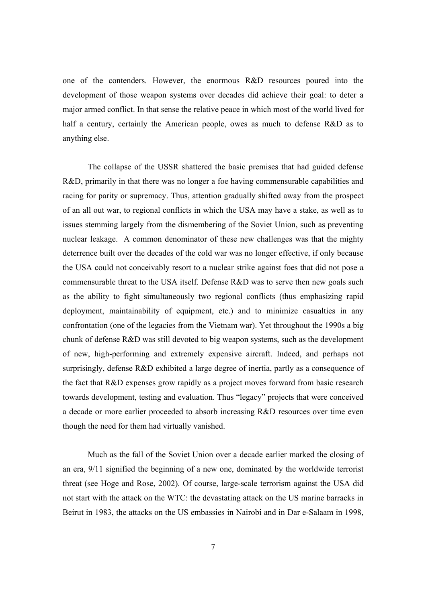one of the contenders. However, the enormous R&D resources poured into the development of those weapon systems over decades did achieve their goal: to deter a major armed conflict. In that sense the relative peace in which most of the world lived for half a century, certainly the American people, owes as much to defense R&D as to anything else.

The collapse of the USSR shattered the basic premises that had guided defense R&D, primarily in that there was no longer a foe having commensurable capabilities and racing for parity or supremacy. Thus, attention gradually shifted away from the prospect of an all out war, to regional conflicts in which the USA may have a stake, as well as to issues stemming largely from the dismembering of the Soviet Union, such as preventing nuclear leakage. A common denominator of these new challenges was that the mighty deterrence built over the decades of the cold war was no longer effective, if only because the USA could not conceivably resort to a nuclear strike against foes that did not pose a commensurable threat to the USA itself. Defense R&D was to serve then new goals such as the ability to fight simultaneously two regional conflicts (thus emphasizing rapid deployment, maintainability of equipment, etc.) and to minimize casualties in any confrontation (one of the legacies from the Vietnam war). Yet throughout the 1990s a big chunk of defense R&D was still devoted to big weapon systems, such as the development of new, high-performing and extremely expensive aircraft. Indeed, and perhaps not surprisingly, defense R&D exhibited a large degree of inertia, partly as a consequence of the fact that R&D expenses grow rapidly as a project moves forward from basic research towards development, testing and evaluation. Thus "legacy" projects that were conceived a decade or more earlier proceeded to absorb increasing R&D resources over time even though the need for them had virtually vanished.

Much as the fall of the Soviet Union over a decade earlier marked the closing of an era, 9/11 signified the beginning of a new one, dominated by the worldwide terrorist threat (see Hoge and Rose, 2002). Of course, large-scale terrorism against the USA did not start with the attack on the WTC: the devastating attack on the US marine barracks in Beirut in 1983, the attacks on the US embassies in Nairobi and in Dar e-Salaam in 1998,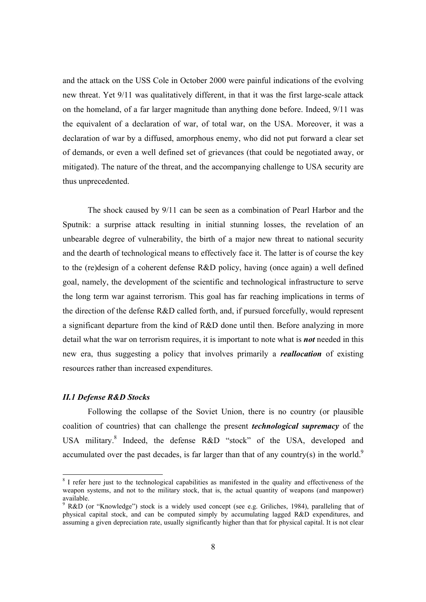and the attack on the USS Cole in October 2000 were painful indications of the evolving new threat. Yet 9/11 was qualitatively different, in that it was the first large-scale attack on the homeland, of a far larger magnitude than anything done before. Indeed, 9/11 was the equivalent of a declaration of war, of total war, on the USA. Moreover, it was a declaration of war by a diffused, amorphous enemy, who did not put forward a clear set of demands, or even a well defined set of grievances (that could be negotiated away, or mitigated). The nature of the threat, and the accompanying challenge to USA security are thus unprecedented.

The shock caused by 9/11 can be seen as a combination of Pearl Harbor and the Sputnik: a surprise attack resulting in initial stunning losses, the revelation of an unbearable degree of vulnerability, the birth of a major new threat to national security and the dearth of technological means to effectively face it. The latter is of course the key to the (re)design of a coherent defense R&D policy, having (once again) a well defined goal, namely, the development of the scientific and technological infrastructure to serve the long term war against terrorism. This goal has far reaching implications in terms of the direction of the defense R&D called forth, and, if pursued forcefully, would represent a significant departure from the kind of R&D done until then. Before analyzing in more detail what the war on terrorism requires, it is important to note what is *not* needed in this new era, thus suggesting a policy that involves primarily a *reallocation* of existing resources rather than increased expenditures.

#### *II.1 Defense R&D Stocks*

Following the collapse of the Soviet Union, there is no country (or plausible coalition of countries) that can challenge the present *technological supremacy* of the USA military.<sup>8</sup> Indeed, the defense R&D "stock" of the USA, developed and accumulated over the past decades, is far larger than that of any country(s) in the world.<sup>9</sup>

<sup>&</sup>lt;sup>8</sup> I refer here just to the technological capabilities as manifested in the quality and effectiveness of the weapon systems, and not to the military stock, that is, the actual quantity of weapons (and manpower) available.

<sup>&</sup>lt;sup>9</sup> R&D (or "Knowledge") stock is a widely used concept (see e.g. Griliches, 1984), paralleling that of physical capital stock, and can be computed simply by accumulating lagged R&D expenditures, and assuming a given depreciation rate, usually significantly higher than that for physical capital. It is not clear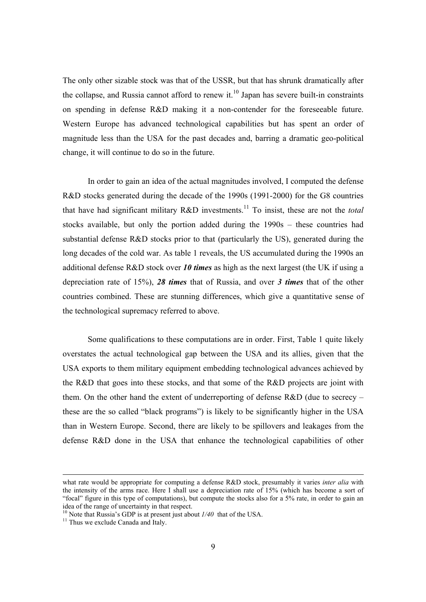The only other sizable stock was that of the USSR, but that has shrunk dramatically after the collapse, and Russia cannot afford to renew it.<sup>10</sup> Japan has severe built-in constraints on spending in defense R&D making it a non-contender for the foreseeable future. Western Europe has advanced technological capabilities but has spent an order of magnitude less than the USA for the past decades and, barring a dramatic geo-political change, it will continue to do so in the future.

In order to gain an idea of the actual magnitudes involved, I computed the defense R&D stocks generated during the decade of the 1990s (1991-2000) for the G8 countries that have had significant military R&D investments.11 To insist, these are not the *total* stocks available, but only the portion added during the 1990s – these countries had substantial defense R&D stocks prior to that (particularly the US), generated during the long decades of the cold war. As table 1 reveals, the US accumulated during the 1990s an additional defense R&D stock over *10 times* as high as the next largest (the UK if using a depreciation rate of 15%), *28 times* that of Russia, and over *3 times* that of the other countries combined. These are stunning differences, which give a quantitative sense of the technological supremacy referred to above.

Some qualifications to these computations are in order. First, Table 1 quite likely overstates the actual technological gap between the USA and its allies, given that the USA exports to them military equipment embedding technological advances achieved by the R&D that goes into these stocks, and that some of the R&D projects are joint with them. On the other hand the extent of underreporting of defense R&D (due to secrecy – these are the so called "black programs") is likely to be significantly higher in the USA than in Western Europe. Second, there are likely to be spillovers and leakages from the defense R&D done in the USA that enhance the technological capabilities of other

what rate would be appropriate for computing a defense R&D stock, presumably it varies *inter alia* with the intensity of the arms race. Here I shall use a depreciation rate of 15% (which has become a sort of "focal" figure in this type of computations), but compute the stocks also for a 5% rate, in order to gain an idea of the range of uncertainty in that respect.

<sup>&</sup>lt;sup>10</sup> Note that Russia's GDP is at present just about  $1/40$  that of the USA.<br><sup>11</sup> Thus we exclude Canada and Italy.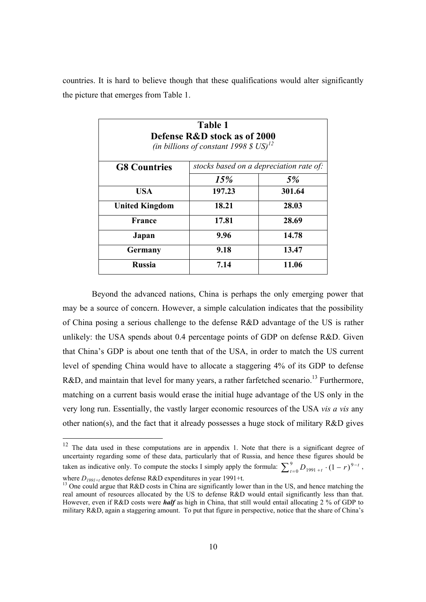countries. It is hard to believe though that these qualifications would alter significantly the picture that emerges from Table 1.

| <b>Table 1</b><br>Defense R&D stock as of 2000<br>(in billions of constant 1998 \$ $US$ ) <sup>12</sup> |                                         |        |  |  |  |
|---------------------------------------------------------------------------------------------------------|-----------------------------------------|--------|--|--|--|
| <b>G8 Countries</b>                                                                                     | stocks based on a depreciation rate of: |        |  |  |  |
|                                                                                                         | 15%                                     | 5%     |  |  |  |
| <b>USA</b>                                                                                              | 197.23                                  | 301.64 |  |  |  |
| <b>United Kingdom</b>                                                                                   | 18.21                                   | 28.03  |  |  |  |
| France                                                                                                  | 17.81                                   | 28.69  |  |  |  |
| Japan                                                                                                   | 9.96                                    | 14.78  |  |  |  |
| Germany                                                                                                 | 9.18                                    | 13.47  |  |  |  |
| <b>Russia</b>                                                                                           | 7.14                                    | 11.06  |  |  |  |

 Beyond the advanced nations, China is perhaps the only emerging power that may be a source of concern. However, a simple calculation indicates that the possibility of China posing a serious challenge to the defense R&D advantage of the US is rather unlikely: the USA spends about 0.4 percentage points of GDP on defense R&D. Given that China's GDP is about one tenth that of the USA, in order to match the US current level of spending China would have to allocate a staggering 4% of its GDP to defense R&D, and maintain that level for many years, a rather farfetched scenario.<sup>13</sup> Furthermore, matching on a current basis would erase the initial huge advantage of the US only in the very long run. Essentially, the vastly larger economic resources of the USA *vis a vis* any other nation(s), and the fact that it already possesses a huge stock of military R&D gives

 $12$  The data used in these computations are in appendix 1. Note that there is a significant degree of uncertainty regarding some of these data, particularly that of Russia, and hence these figures should be taken as indicative only. To compute the stocks I simply apply the formula:  $\sum_{t=0}^{9} D_{1991+t} \cdot (1-r)^{9-1}$  $\sum_{t=0}^{9} D_{1991+t} \cdot (1-r)^{9-t}$ ,

where  $D_{1991+t}$  denotes defense R&D expenditures in year 1991+t.<br><sup>13</sup> One could argue that R&D costs in China are significantly lower than in the US, and hence matching the real amount of resources allocated by the US to defense R&D would entail significantly less than that. However, even if R&D costs were *half* as high in China, that still would entail allocating 2 % of GDP to military R&D, again a staggering amount. To put that figure in perspective, notice that the share of China's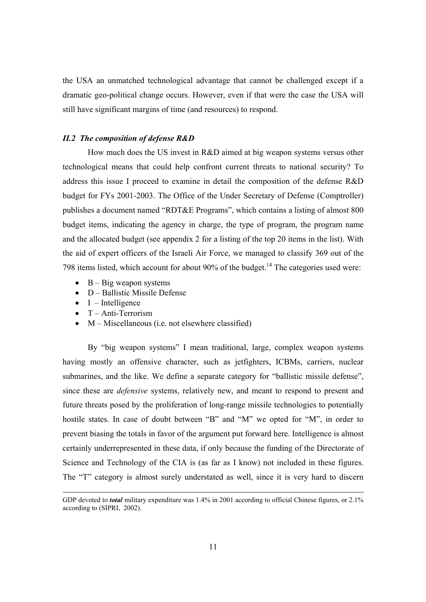the USA an unmatched technological advantage that cannot be challenged except if a dramatic geo-political change occurs. However, even if that were the case the USA will still have significant margins of time (and resources) to respond.

#### *II.2 The composition of defense R&D*

How much does the US invest in R&D aimed at big weapon systems versus other technological means that could help confront current threats to national security? To address this issue I proceed to examine in detail the composition of the defense R&D budget for FYs 2001-2003. The Office of the Under Secretary of Defense (Comptroller) publishes a document named "RDT&E Programs", which contains a listing of almost 800 budget items, indicating the agency in charge, the type of program, the program name and the allocated budget (see appendix 2 for a listing of the top 20 items in the list). With the aid of expert officers of the Israeli Air Force, we managed to classify 369 out of the 798 items listed, which account for about 90% of the budget.<sup>14</sup> The categories used were:

- $\bullet$  B Big weapon systems
- D Ballistic Missile Defense
- $\bullet$  I Intelligence
- T Anti-Terrorism
- $M -$ Miscellaneous (i.e. not elsewhere classified)

By "big weapon systems" I mean traditional, large, complex weapon systems having mostly an offensive character, such as jetfighters, ICBMs, carriers, nuclear submarines, and the like. We define a separate category for "ballistic missile defense", since these are *defensive* systems, relatively new, and meant to respond to present and future threats posed by the proliferation of long-range missile technologies to potentially hostile states. In case of doubt between "B" and "M" we opted for "M", in order to prevent biasing the totals in favor of the argument put forward here. Intelligence is almost certainly underrepresented in these data, if only because the funding of the Directorate of Science and Technology of the CIA is (as far as I know) not included in these figures. The "T" category is almost surely understated as well, since it is very hard to discern

GDP devoted to *total* military expenditure was 1.4% in 2001 according to official Chinese figures, or 2.1% according to (SIPRI, 2002).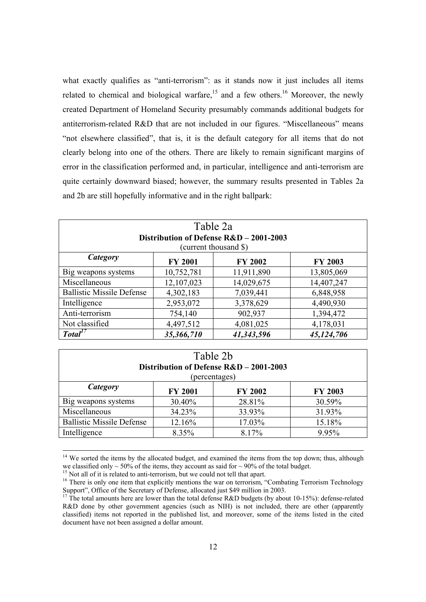what exactly qualifies as "anti-terrorism": as it stands now it just includes all items related to chemical and biological warfare,<sup>15</sup> and a few others.<sup>16</sup> Moreover, the newly created Department of Homeland Security presumably commands additional budgets for antiterrorism-related R&D that are not included in our figures. "Miscellaneous" means "not elsewhere classified", that is, it is the default category for all items that do not clearly belong into one of the others. There are likely to remain significant margins of error in the classification performed and, in particular, intelligence and anti-terrorism are quite certainly downward biased; however, the summary results presented in Tables 2a and 2b are still hopefully informative and in the right ballpark:

| Table 2a<br>Distribution of Defense R&D - 2001-2003<br>(current thousand \$) |                                        |            |            |  |  |  |  |  |  |
|------------------------------------------------------------------------------|----------------------------------------|------------|------------|--|--|--|--|--|--|
| Category<br><b>FY 2001</b><br><b>FY 2002</b><br><b>FY 2003</b>               |                                        |            |            |  |  |  |  |  |  |
| Big weapons systems                                                          | 10,752,781                             | 11,911,890 | 13,805,069 |  |  |  |  |  |  |
| Miscellaneous                                                                | 12,107,023                             | 14,029,675 | 14,407,247 |  |  |  |  |  |  |
| <b>Ballistic Missile Defense</b>                                             | 4,302,183                              | 7,039,441  | 6,848,958  |  |  |  |  |  |  |
| Intelligence                                                                 | 2,953,072                              | 3,378,629  | 4,490,930  |  |  |  |  |  |  |
| Anti-terrorism                                                               | 754,140                                | 902,937    | 1,394,472  |  |  |  |  |  |  |
| Not classified                                                               | 4,497,512                              | 4,081,025  | 4,178,031  |  |  |  |  |  |  |
| Total <sup>L</sup>                                                           | 35,366,710<br>41,343,596<br>45,124,706 |            |            |  |  |  |  |  |  |

| Table 2b<br>Distribution of Defense R&D - 2001-2003<br>(percentages) |        |        |        |  |  |  |  |  |
|----------------------------------------------------------------------|--------|--------|--------|--|--|--|--|--|
| Category<br><b>FY 2001</b><br><b>FY 2002</b><br><b>FY 2003</b>       |        |        |        |  |  |  |  |  |
| Big weapons systems                                                  | 30.40% | 28.81% | 30.59% |  |  |  |  |  |
| Miscellaneous                                                        | 34.23% | 33.93% | 31.93% |  |  |  |  |  |
| <b>Ballistic Missile Defense</b><br>12.16%<br>17.03%<br>15.18%       |        |        |        |  |  |  |  |  |
| Intelligence<br>8.35%<br>8.17%<br>9.95%                              |        |        |        |  |  |  |  |  |

 $14$  We sorted the items by the allocated budget, and examined the items from the top down; thus, although we classified only  $\sim$  50% of the items, they account as said for  $\sim$  90% of the total budget.

<sup>&</sup>lt;sup>15</sup> Not all of it is related to anti-terrorism, but we could not tell that apart.

<sup>&</sup>lt;sup>16</sup> There is only one item that explicitly mentions the war on terrorism, "Combating Terrorism Technology Support", Office of the Secretary of Defense, allocated just \$49 million in 2003.

<sup>&</sup>lt;sup>17</sup> The total amounts here are lower than the total defense R&D budgets (by about 10-15%): defense-related R&D done by other government agencies (such as NIH) is not included, there are other (apparently classified) items not reported in the published list, and moreover, some of the items listed in the cited document have not been assigned a dollar amount.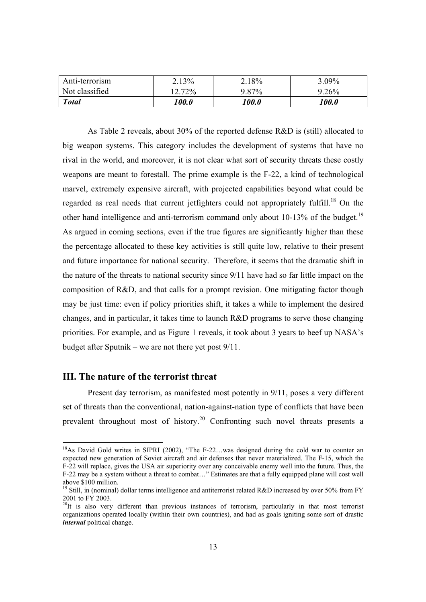| Anti-terrorism | 2.13%     | $2.18\%$ | $3.09\%$ |
|----------------|-----------|----------|----------|
| Not classified | $12.72\%$ | 9.87%    | $9.26\%$ |
| <b>Total</b>   | 100.0     | 100.0    | 100.0    |

As Table 2 reveals, about 30% of the reported defense R&D is (still) allocated to big weapon systems. This category includes the development of systems that have no rival in the world, and moreover, it is not clear what sort of security threats these costly weapons are meant to forestall. The prime example is the F-22, a kind of technological marvel, extremely expensive aircraft, with projected capabilities beyond what could be regarded as real needs that current jetfighters could not appropriately fulfill.<sup>18</sup> On the other hand intelligence and anti-terrorism command only about 10-13% of the budget.<sup>19</sup> As argued in coming sections, even if the true figures are significantly higher than these the percentage allocated to these key activities is still quite low, relative to their present and future importance for national security. Therefore, it seems that the dramatic shift in the nature of the threats to national security since 9/11 have had so far little impact on the composition of R&D, and that calls for a prompt revision. One mitigating factor though may be just time: even if policy priorities shift, it takes a while to implement the desired changes, and in particular, it takes time to launch R&D programs to serve those changing priorities. For example, and as Figure 1 reveals, it took about 3 years to beef up NASA's budget after Sputnik – we are not there yet post 9/11.

## **III. The nature of the terrorist threat**

 $\overline{a}$ 

Present day terrorism, as manifested most potently in 9/11, poses a very different set of threats than the conventional, nation-against-nation type of conflicts that have been prevalent throughout most of history.<sup>20</sup> Confronting such novel threats presents a

<sup>&</sup>lt;sup>18</sup>As David Gold writes in SIPRI (2002), "The F-22...was designed during the cold war to counter an expected new generation of Soviet aircraft and air defenses that never materialized. The F-15, which the F-22 will replace, gives the USA air superiority over any conceivable enemy well into the future. Thus, the F-22 may be a system without a threat to combat…" Estimates are that a fully equipped plane will cost well above \$100 million.

<sup>&</sup>lt;sup>19</sup> Still, in (nominal) dollar terms intelligence and antiterrorist related R&D increased by over 50% from FY 2001 to FY 2003.

 $^{20}$ It is also very different than previous instances of terrorism, particularly in that most terrorist organizations operated locally (within their own countries), and had as goals igniting some sort of drastic *internal* political change.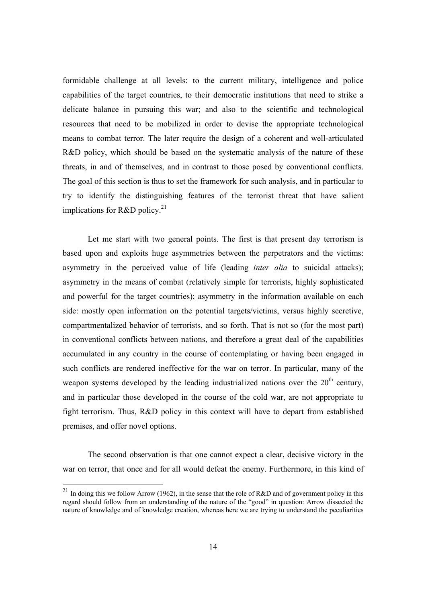formidable challenge at all levels: to the current military, intelligence and police capabilities of the target countries, to their democratic institutions that need to strike a delicate balance in pursuing this war; and also to the scientific and technological resources that need to be mobilized in order to devise the appropriate technological means to combat terror. The later require the design of a coherent and well-articulated R&D policy, which should be based on the systematic analysis of the nature of these threats, in and of themselves, and in contrast to those posed by conventional conflicts. The goal of this section is thus to set the framework for such analysis, and in particular to try to identify the distinguishing features of the terrorist threat that have salient implications for R&D policy. $^{21}$ 

Let me start with two general points. The first is that present day terrorism is based upon and exploits huge asymmetries between the perpetrators and the victims: asymmetry in the perceived value of life (leading *inter alia* to suicidal attacks); asymmetry in the means of combat (relatively simple for terrorists, highly sophisticated and powerful for the target countries); asymmetry in the information available on each side: mostly open information on the potential targets/victims, versus highly secretive, compartmentalized behavior of terrorists, and so forth. That is not so (for the most part) in conventional conflicts between nations, and therefore a great deal of the capabilities accumulated in any country in the course of contemplating or having been engaged in such conflicts are rendered ineffective for the war on terror. In particular, many of the weapon systems developed by the leading industrialized nations over the  $20<sup>th</sup>$  century, and in particular those developed in the course of the cold war, are not appropriate to fight terrorism. Thus, R&D policy in this context will have to depart from established premises, and offer novel options.

The second observation is that one cannot expect a clear, decisive victory in the war on terror, that once and for all would defeat the enemy. Furthermore, in this kind of

<sup>&</sup>lt;sup>21</sup> In doing this we follow Arrow (1962), in the sense that the role of R&D and of government policy in this regard should follow from an understanding of the nature of the "good" in question: Arrow dissected the nature of knowledge and of knowledge creation, whereas here we are trying to understand the peculiarities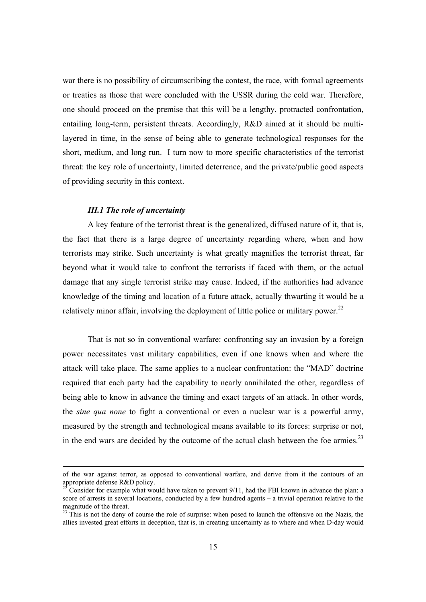war there is no possibility of circumscribing the contest, the race, with formal agreements or treaties as those that were concluded with the USSR during the cold war. Therefore, one should proceed on the premise that this will be a lengthy, protracted confrontation, entailing long-term, persistent threats. Accordingly, R&D aimed at it should be multilayered in time, in the sense of being able to generate technological responses for the short, medium, and long run. I turn now to more specific characteristics of the terrorist threat: the key role of uncertainty, limited deterrence, and the private/public good aspects of providing security in this context.

#### *III.1 The role of uncertainty*

A key feature of the terrorist threat is the generalized, diffused nature of it, that is, the fact that there is a large degree of uncertainty regarding where, when and how terrorists may strike. Such uncertainty is what greatly magnifies the terrorist threat, far beyond what it would take to confront the terrorists if faced with them, or the actual damage that any single terrorist strike may cause. Indeed, if the authorities had advance knowledge of the timing and location of a future attack, actually thwarting it would be a relatively minor affair, involving the deployment of little police or military power.<sup>22</sup>

That is not so in conventional warfare: confronting say an invasion by a foreign power necessitates vast military capabilities, even if one knows when and where the attack will take place. The same applies to a nuclear confrontation: the "MAD" doctrine required that each party had the capability to nearly annihilated the other, regardless of being able to know in advance the timing and exact targets of an attack. In other words, the *sine qua none* to fight a conventional or even a nuclear war is a powerful army, measured by the strength and technological means available to its forces: surprise or not, in the end wars are decided by the outcome of the actual clash between the foe armies. $^{23}$ 

of the war against terror, as opposed to conventional warfare, and derive from it the contours of an appropriate defense  $R&D$  policy.

<sup>22</sup> Consider for example what would have taken to prevent 9/11, had the FBI known in advance the plan: a score of arrests in several locations, conducted by a few hundred agents – a trivial operation relative to the magnitude of the threat.

<sup>&</sup>lt;sup>23</sup> This is not the deny of course the role of surprise: when posed to launch the offensive on the Nazis, the allies invested great efforts in deception, that is, in creating uncertainty as to where and when D-day would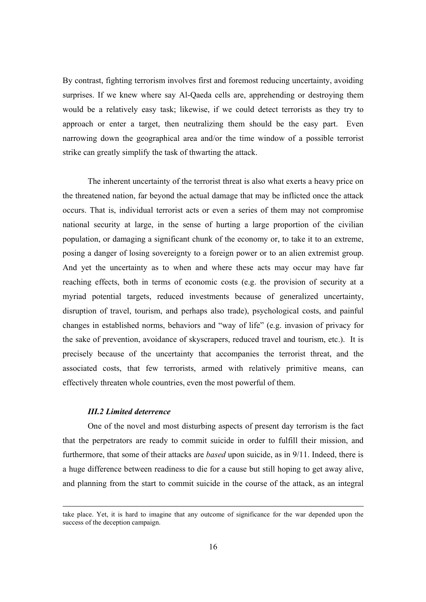By contrast, fighting terrorism involves first and foremost reducing uncertainty, avoiding surprises. If we knew where say Al-Qaeda cells are, apprehending or destroying them would be a relatively easy task; likewise, if we could detect terrorists as they try to approach or enter a target, then neutralizing them should be the easy part. Even narrowing down the geographical area and/or the time window of a possible terrorist strike can greatly simplify the task of thwarting the attack.

The inherent uncertainty of the terrorist threat is also what exerts a heavy price on the threatened nation, far beyond the actual damage that may be inflicted once the attack occurs. That is, individual terrorist acts or even a series of them may not compromise national security at large, in the sense of hurting a large proportion of the civilian population, or damaging a significant chunk of the economy or, to take it to an extreme, posing a danger of losing sovereignty to a foreign power or to an alien extremist group. And yet the uncertainty as to when and where these acts may occur may have far reaching effects, both in terms of economic costs (e.g. the provision of security at a myriad potential targets, reduced investments because of generalized uncertainty, disruption of travel, tourism, and perhaps also trade), psychological costs, and painful changes in established norms, behaviors and "way of life" (e.g. invasion of privacy for the sake of prevention, avoidance of skyscrapers, reduced travel and tourism, etc.). It is precisely because of the uncertainty that accompanies the terrorist threat, and the associated costs, that few terrorists, armed with relatively primitive means, can effectively threaten whole countries, even the most powerful of them.

#### *III.2 Limited deterrence*

 One of the novel and most disturbing aspects of present day terrorism is the fact that the perpetrators are ready to commit suicide in order to fulfill their mission, and furthermore, that some of their attacks are *based* upon suicide, as in 9/11. Indeed, there is a huge difference between readiness to die for a cause but still hoping to get away alive, and planning from the start to commit suicide in the course of the attack, as an integral

take place. Yet, it is hard to imagine that any outcome of significance for the war depended upon the success of the deception campaign.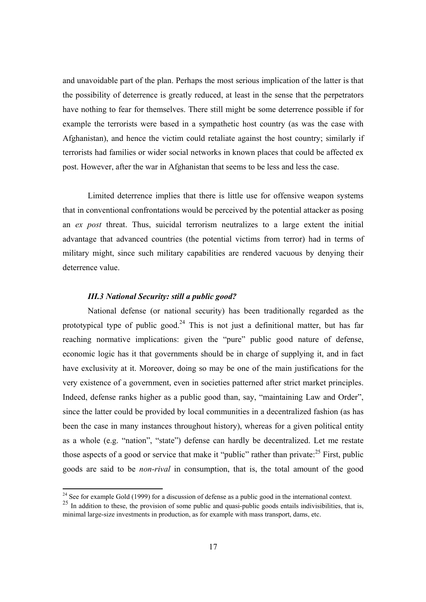and unavoidable part of the plan. Perhaps the most serious implication of the latter is that the possibility of deterrence is greatly reduced, at least in the sense that the perpetrators have nothing to fear for themselves. There still might be some deterrence possible if for example the terrorists were based in a sympathetic host country (as was the case with Afghanistan), and hence the victim could retaliate against the host country; similarly if terrorists had families or wider social networks in known places that could be affected ex post. However, after the war in Afghanistan that seems to be less and less the case.

 Limited deterrence implies that there is little use for offensive weapon systems that in conventional confrontations would be perceived by the potential attacker as posing an *ex post* threat. Thus, suicidal terrorism neutralizes to a large extent the initial advantage that advanced countries (the potential victims from terror) had in terms of military might, since such military capabilities are rendered vacuous by denying their deterrence value.

### *III.3 National Security: still a public good?*

 $\overline{a}$ 

National defense (or national security) has been traditionally regarded as the prototypical type of public good.<sup>24</sup> This is not just a definitional matter, but has far reaching normative implications: given the "pure" public good nature of defense, economic logic has it that governments should be in charge of supplying it, and in fact have exclusivity at it. Moreover, doing so may be one of the main justifications for the very existence of a government, even in societies patterned after strict market principles. Indeed, defense ranks higher as a public good than, say, "maintaining Law and Order", since the latter could be provided by local communities in a decentralized fashion (as has been the case in many instances throughout history), whereas for a given political entity as a whole (e.g. "nation", "state") defense can hardly be decentralized. Let me restate those aspects of a good or service that make it "public" rather than private: $^{25}$  First, public goods are said to be *non-rival* in consumption, that is, the total amount of the good

<sup>&</sup>lt;sup>24</sup> See for example Gold (1999) for a discussion of defense as a public good in the international context.

<sup>&</sup>lt;sup>25</sup> In addition to these, the provision of some public and quasi-public goods entails indivisibilities, that is, minimal large-size investments in production, as for example with mass transport, dams, etc.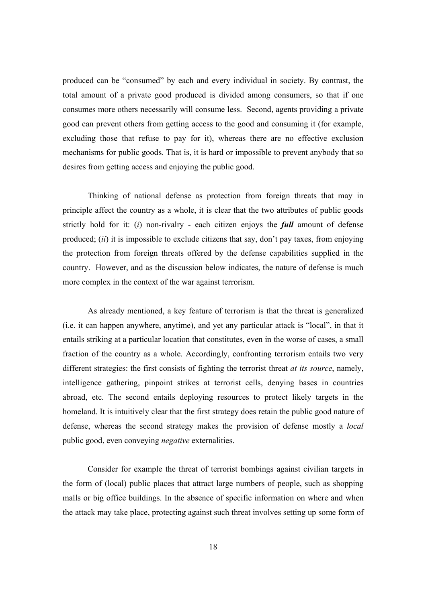produced can be "consumed" by each and every individual in society. By contrast, the total amount of a private good produced is divided among consumers, so that if one consumes more others necessarily will consume less. Second, agents providing a private good can prevent others from getting access to the good and consuming it (for example, excluding those that refuse to pay for it), whereas there are no effective exclusion mechanisms for public goods. That is, it is hard or impossible to prevent anybody that so desires from getting access and enjoying the public good.

Thinking of national defense as protection from foreign threats that may in principle affect the country as a whole, it is clear that the two attributes of public goods strictly hold for it: (*i*) non-rivalry - each citizen enjoys the *full* amount of defense produced; (*ii*) it is impossible to exclude citizens that say, don't pay taxes, from enjoying the protection from foreign threats offered by the defense capabilities supplied in the country. However, and as the discussion below indicates, the nature of defense is much more complex in the context of the war against terrorism.

As already mentioned, a key feature of terrorism is that the threat is generalized (i.e. it can happen anywhere, anytime), and yet any particular attack is "local", in that it entails striking at a particular location that constitutes, even in the worse of cases, a small fraction of the country as a whole. Accordingly, confronting terrorism entails two very different strategies: the first consists of fighting the terrorist threat *at its source*, namely, intelligence gathering, pinpoint strikes at terrorist cells, denying bases in countries abroad, etc. The second entails deploying resources to protect likely targets in the homeland. It is intuitively clear that the first strategy does retain the public good nature of defense, whereas the second strategy makes the provision of defense mostly a *local* public good, even conveying *negative* externalities.

Consider for example the threat of terrorist bombings against civilian targets in the form of (local) public places that attract large numbers of people, such as shopping malls or big office buildings. In the absence of specific information on where and when the attack may take place, protecting against such threat involves setting up some form of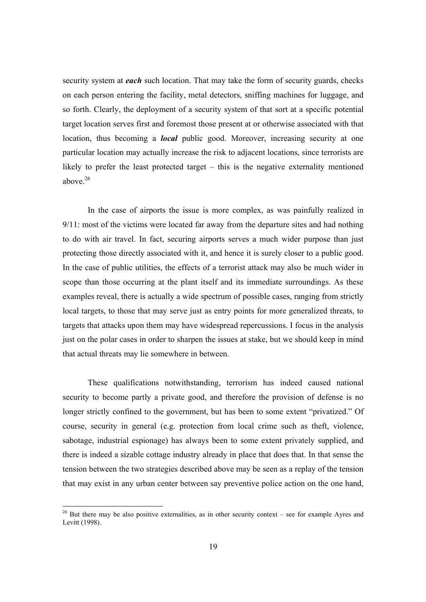security system at *each* such location. That may take the form of security guards, checks on each person entering the facility, metal detectors, sniffing machines for luggage, and so forth. Clearly, the deployment of a security system of that sort at a specific potential target location serves first and foremost those present at or otherwise associated with that location, thus becoming a *local* public good. Moreover, increasing security at one particular location may actually increase the risk to adjacent locations, since terrorists are likely to prefer the least protected target – this is the negative externality mentioned above  $26$ 

In the case of airports the issue is more complex, as was painfully realized in 9/11: most of the victims were located far away from the departure sites and had nothing to do with air travel. In fact, securing airports serves a much wider purpose than just protecting those directly associated with it, and hence it is surely closer to a public good. In the case of public utilities, the effects of a terrorist attack may also be much wider in scope than those occurring at the plant itself and its immediate surroundings. As these examples reveal, there is actually a wide spectrum of possible cases, ranging from strictly local targets, to those that may serve just as entry points for more generalized threats, to targets that attacks upon them may have widespread repercussions. I focus in the analysis just on the polar cases in order to sharpen the issues at stake, but we should keep in mind that actual threats may lie somewhere in between.

These qualifications notwithstanding, terrorism has indeed caused national security to become partly a private good, and therefore the provision of defense is no longer strictly confined to the government, but has been to some extent "privatized." Of course, security in general (e.g. protection from local crime such as theft, violence, sabotage, industrial espionage) has always been to some extent privately supplied, and there is indeed a sizable cottage industry already in place that does that. In that sense the tension between the two strategies described above may be seen as a replay of the tension that may exist in any urban center between say preventive police action on the one hand,

 $26$  But there may be also positive externalities, as in other security context – see for example Ayres and Levitt (1998).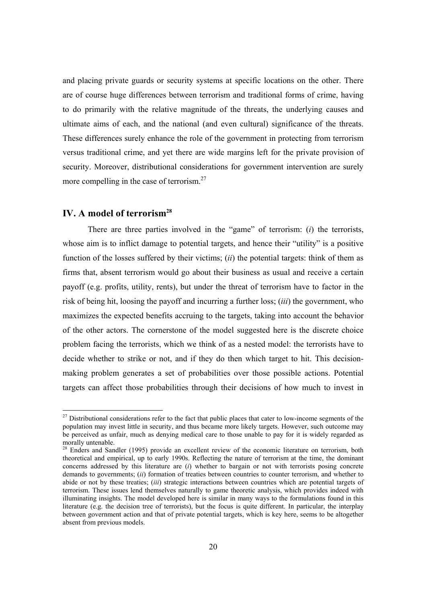and placing private guards or security systems at specific locations on the other. There are of course huge differences between terrorism and traditional forms of crime, having to do primarily with the relative magnitude of the threats, the underlying causes and ultimate aims of each, and the national (and even cultural) significance of the threats. These differences surely enhance the role of the government in protecting from terrorism versus traditional crime, and yet there are wide margins left for the private provision of security. Moreover, distributional considerations for government intervention are surely more compelling in the case of terrorism.<sup>27</sup>

## **IV. A model of terrorism28**

There are three parties involved in the "game" of terrorism: (*i*) the terrorists, whose aim is to inflict damage to potential targets, and hence their "utility" is a positive function of the losses suffered by their victims; (*ii*) the potential targets: think of them as firms that, absent terrorism would go about their business as usual and receive a certain payoff (e.g. profits, utility, rents), but under the threat of terrorism have to factor in the risk of being hit, loosing the payoff and incurring a further loss; (*iii*) the government, who maximizes the expected benefits accruing to the targets, taking into account the behavior of the other actors. The cornerstone of the model suggested here is the discrete choice problem facing the terrorists, which we think of as a nested model: the terrorists have to decide whether to strike or not, and if they do then which target to hit. This decisionmaking problem generates a set of probabilities over those possible actions. Potential targets can affect those probabilities through their decisions of how much to invest in

 $27$  Distributional considerations refer to the fact that public places that cater to low-income segments of the population may invest little in security, and thus became more likely targets. However, such outcome may be perceived as unfair, much as denying medical care to those unable to pay for it is widely regarded as morally untenable.

 $28$  Enders and Sandler (1995) provide an excellent review of the economic literature on terrorism, both theoretical and empirical, up to early 1990s. Reflecting the nature of terrorism at the time, the dominant concerns addressed by this literature are (*i*) whether to bargain or not with terrorists posing concrete demands to governments; *(ii)* formation of treaties between countries to counter terrorism, and whether to abide or not by these treaties; (*iii*) strategic interactions between countries which are potential targets of terrorism. These issues lend themselves naturally to game theoretic analysis, which provides indeed with illuminating insights. The model developed here is similar in many ways to the formulations found in this literature (e.g. the decision tree of terrorists), but the focus is quite different. In particular, the interplay between government action and that of private potential targets, which is key here, seems to be altogether absent from previous models.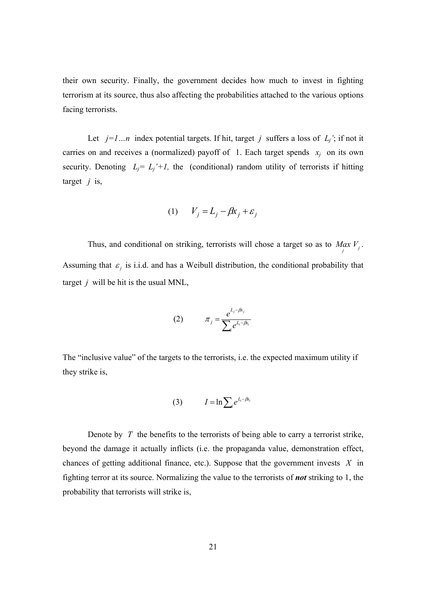their own security. Finally, the government decides how much to invest in fighting terrorism at its source, thus also affecting the probabilities attached to the various options facing terrorists.

Let  $j=l...n$  index potential targets. If hit, target *j* suffers a loss of  $L_j$ ; if not it carries on and receives a (normalized) payoff of 1. Each target spends  $x_i$  on its own security. Denoting  $L_j = L_j' + l$ , the (conditional) random utility of terrorists if hitting target *j* is,

$$
(1) \qquad V_j = L_j - \beta x_j + \varepsilon_j
$$

Thus, and conditional on striking, terrorists will chose a target so as to  $\lim_{j} V_j$ . Assuming that  $\varepsilon_j$  is i.i.d. and has a Weibull distribution, the conditional probability that target *j* will be hit is the usual MNL,

(2) 
$$
\pi_j = \frac{e^{L_j - \beta k_j}}{\sum_i e^{L_i - \beta k_i}}
$$

The "inclusive value" of the targets to the terrorists, i.e. the expected maximum utility if they strike is,

$$
(3) \tI = \ln \sum_{i} e^{L_i - \beta x_i}
$$

Denote by *T* the benefits to the terrorists of being able to carry a terrorist strike, beyond the damage it actually inflicts (i.e. the propaganda value, demonstration effect, chances of getting additional finance, etc.). Suppose that the government invests *X* in fighting terror at its source. Normalizing the value to the terrorists of *not* striking to 1, the probability that terrorists will strike is,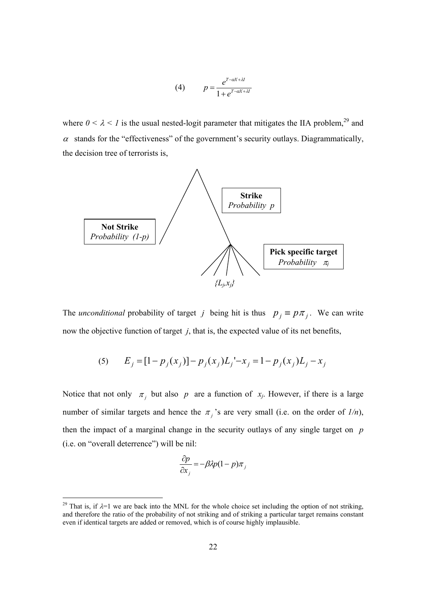(4) 
$$
p = \frac{e^{T - \alpha X + \lambda I}}{1 + e^{T - \alpha X + \lambda I}}
$$

where  $0 < \lambda < 1$  is the usual nested-logit parameter that mitigates the IIA problem,<sup>29</sup> and  $\alpha$  stands for the "effectiveness" of the government's security outlays. Diagrammatically, the decision tree of terrorists is,



The *unconditional* probability of target *j* being hit is thus  $p_j \equiv p \pi_j$ . We can write now the objective function of target *j*, that is, the expected value of its net benefits,

(5) 
$$
E_j = [1 - p_j(x_j)] - p_j(x_j)L_j - x_j = 1 - p_j(x_j)L_j - x_j
$$

Notice that not only  $\pi_j$  but also p are a function of  $x_j$ . However, if there is a large number of similar targets and hence the  $\pi_j$ 's are very small (i.e. on the order of  $1/n$ ), then the impact of a marginal change in the security outlays of any single target on *p* (i.e. on "overall deterrence") will be nil:

$$
\frac{\partial p}{\partial x_j} = -\beta \lambda p (1 - p) \pi_j
$$

l

<sup>&</sup>lt;sup>29</sup> That is, if  $\lambda=1$  we are back into the MNL for the whole choice set including the option of not striking, and therefore the ratio of the probability of not striking and of striking a particular target remains constant even if identical targets are added or removed, which is of course highly implausible.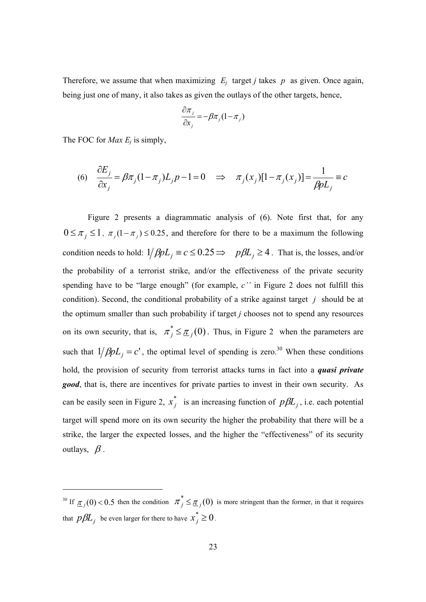Therefore, we assume that when maximizing  $E_i$  target *j* takes  $p$  as given. Once again, being just one of many, it also takes as given the outlays of the other targets, hence,

$$
\frac{\partial \pi_j}{\partial x_j} = -\beta \pi_j (1 - \pi_j)
$$

The FOC for *Max E<sub>i</sub>* is simply,

$$
(6) \quad \frac{\partial E_j}{\partial x_j} = \beta \pi_j (1 - \pi_j) L_j p - 1 = 0 \quad \Rightarrow \quad \pi_j(x_j) [1 - \pi_j(x_j)] = \frac{1}{\beta p L_j} = c
$$

Figure 2 presents a diagrammatic analysis of (6). Note first that, for any  $0 \leq \pi_j \leq 1$ ,  $\pi_j (1 - \pi_j) \leq 0.25$ , and therefore for there to be a maximum the following condition needs to hold:  $1/\beta pL_i \equiv c \le 0.25 \Rightarrow p\beta L_i \ge 4$ . That is, the losses, and/or the probability of a terrorist strike, and/or the effectiveness of the private security spending have to be "large enough" (for example, *c''* in Figure 2 does not fulfill this condition). Second, the conditional probability of a strike against target *j* should be at the optimum smaller than such probability if target *j* chooses not to spend any resources on its own security, that is,  $\pi_j^* \leq \underline{\pi}_j(0)$ . Thus, in Figure 2 when the parameters are such that  $1/\beta pL_j = c'$ , the optimal level of spending is zero.<sup>30</sup> When these conditions hold, the provision of security from terrorist attacks turns in fact into a *quasi private*  **good**, that is, there are incentives for private parties to invest in their own security. As can be easily seen in Figure 2,  $x_j^*$  is an increasing function of  $p\beta L_j$ , i.e. each potential target will spend more on its own security the higher the probability that there will be a strike, the larger the expected losses, and the higher the "effectiveness" of its security outlays,  $\beta$ .

<sup>&</sup>lt;sup>30</sup> If  $\pi$ <sub>*j*</sub>(0) < 0.5 then the condition  $\pi_j^* \leq \pi_j(0)$  is more stringent than the former, in that it requires that  $p\beta L_j$  be even larger for there to have  $x_j^* \geq 0$ .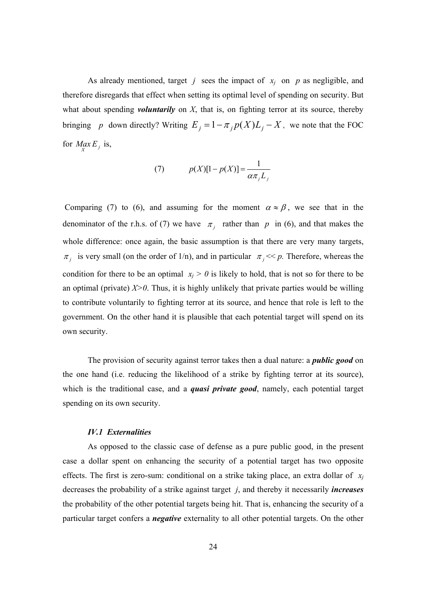As already mentioned, target *j* sees the impact of *xj* on *p* as negligible, and therefore disregards that effect when setting its optimal level of spending on security. But what about spending *voluntarily* on *X*, that is, on fighting terror at its source, thereby bringing *p* down directly? Writing  $E_j = 1 - \pi_j p(X) L_j - X$ , we note that the FOC for  $M$ *ax*  $E_j$  is,

$$
(7) \qquad p(X)[1-p(X)] = \frac{1}{\alpha \pi_j L_j}
$$

Comparing (7) to (6), and assuming for the moment  $\alpha \approx \beta$ , we see that in the denominator of the r.h.s. of (7) we have  $\pi_i$  rather than p in (6), and that makes the whole difference: once again, the basic assumption is that there are very many targets,  $\pi_j$  is very small (on the order of 1/n), and in particular  $\pi_j \ll p$ . Therefore, whereas the condition for there to be an optimal  $x_i > 0$  is likely to hold, that is not so for there to be an optimal (private)  $X>0$ . Thus, it is highly unlikely that private parties would be willing to contribute voluntarily to fighting terror at its source, and hence that role is left to the government. On the other hand it is plausible that each potential target will spend on its own security.

 The provision of security against terror takes then a dual nature: a *public good* on the one hand (i.e. reducing the likelihood of a strike by fighting terror at its source), which is the traditional case, and a *quasi private good*, namely, each potential target spending on its own security.

#### *IV.1 Externalities*

As opposed to the classic case of defense as a pure public good, in the present case a dollar spent on enhancing the security of a potential target has two opposite effects. The first is zero-sum: conditional on a strike taking place, an extra dollar of  $x_i$ decreases the probability of a strike against target *j*, and thereby it necessarily *increases* the probability of the other potential targets being hit. That is, enhancing the security of a particular target confers a *negative* externality to all other potential targets. On the other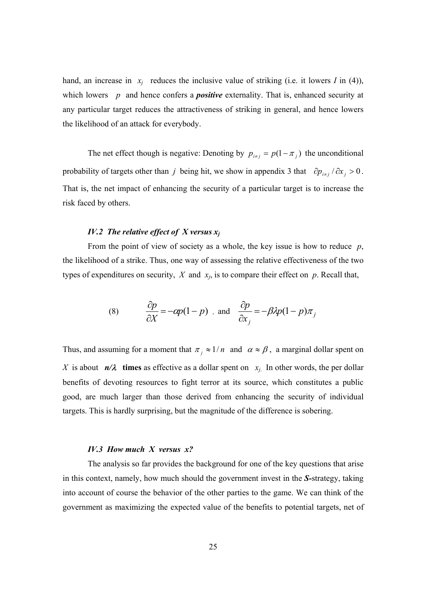hand, an increase in  $x_i$  reduces the inclusive value of striking (i.e. it lowers *I* in (4)), which lowers *p* and hence confers a *positive* externality. That is, enhanced security at any particular target reduces the attractiveness of striking in general, and hence lowers the likelihood of an attack for everybody.

The net effect though is negative: Denoting by  $p_{i \neq j} = p(1 - \pi_i)$  the unconditional probability of targets other than *j* being hit, we show in appendix 3 that  $\partial p_{i \neq j} / \partial x_i > 0$ . That is, the net impact of enhancing the security of a particular target is to increase the risk faced by others.

### *IV.2 The relative effect of X versus xj*

From the point of view of society as a whole, the key issue is how to reduce *p*, the likelihood of a strike. Thus, one way of assessing the relative effectiveness of the two types of expenditures on security,  $X$  and  $x_i$ , is to compare their effect on  $p$ . Recall that,

(8) 
$$
\frac{\partial p}{\partial X} = -\alpha p(1-p) \text{ and } \frac{\partial p}{\partial x_j} = -\beta \lambda p(1-p)\pi_j
$$

Thus, and assuming for a moment that  $\pi_i \approx 1/n$  and  $\alpha \approx \beta$ , a marginal dollar spent on *X* is about  $n/\lambda$  times as effective as a dollar spent on  $x_i$ . In other words, the per dollar benefits of devoting resources to fight terror at its source, which constitutes a public good, are much larger than those derived from enhancing the security of individual targets. This is hardly surprising, but the magnitude of the difference is sobering.

#### *IV.3 How much X versus x?*

The analysis so far provides the background for one of the key questions that arise in this context, namely, how much should the government invest in the *S-*strategy, taking into account of course the behavior of the other parties to the game. We can think of the government as maximizing the expected value of the benefits to potential targets, net of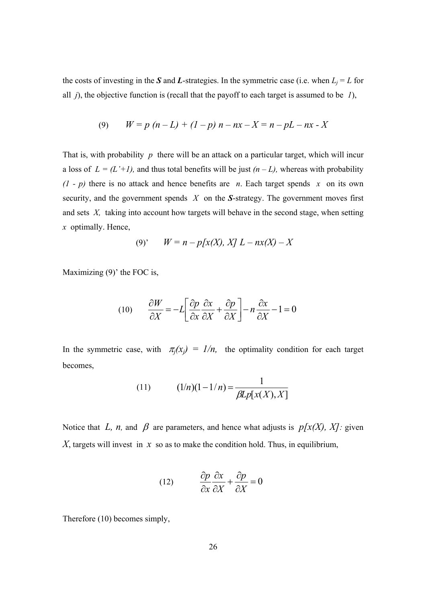the costs of investing in the *S* and *L*-strategies. In the symmetric case (i.e. when  $L_j = L$  for all *j*), the objective function is (recall that the payoff to each target is assumed to be *1*),

$$
(9) \qquad W = p (n - L) + (1 - p) n - nx - X = n - pL - nx - X
$$

That is, with probability *p* there will be an attack on a particular target, which will incur a loss of  $L = (L'+1)$ , and thus total benefits will be just  $(n - L)$ , whereas with probability  $(1 - p)$  there is no attack and hence benefits are *n*. Each target spends *x* on its own security, and the government spends *X* on the *S*-strategy. The government moves first and sets *X,* taking into account how targets will behave in the second stage, when setting *x* optimally. Hence,

$$
(9)' \t W = n - p[x(X), X] L - nx(X) - X
$$

Maximizing (9)' the FOC is,

$$
(10) \qquad \frac{\partial W}{\partial X} = -L \left[ \frac{\partial p}{\partial x} \frac{\partial x}{\partial X} + \frac{\partial p}{\partial X} \right] - n \frac{\partial x}{\partial X} - 1 = 0
$$

In the symmetric case, with  $\pi_i(x_i) = 1/n$ , the optimality condition for each target becomes,

(11) 
$$
(1/n)(1 - 1/n) = \frac{1}{\beta L p[x(X), X]}
$$

Notice that *L, n,* and  $\beta$  are parameters, and hence what adjusts is  $p[x(X), X]$ : given X, targets will invest in  $x$  so as to make the condition hold. Thus, in equilibrium,

(12) 
$$
\frac{\partial p}{\partial x} \frac{\partial x}{\partial X} + \frac{\partial p}{\partial X} = 0
$$

Therefore (10) becomes simply,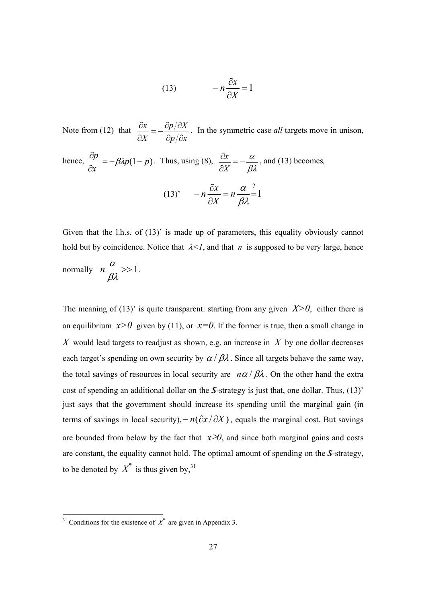(13) 
$$
-n\frac{\partial x}{\partial X} = 1
$$

Note from (12) that  $p/\partial x$  $p/\partial X$ *X x*  $\frac{\partial x}{\partial X} = -\frac{\partial p}{\partial x}$ . In the symmetric case *all* targets move in unison, hence,  $\frac{dp}{dp} = -\beta \lambda p(1-p)$  $\frac{\partial p}{\partial x} = -\beta \lambda p (1 - p)$ . Thus, using (8),  $\frac{\partial x}{\partial X} = -\frac{\alpha}{\beta \lambda}$ *X*  $\frac{x}{x} = -\frac{\alpha}{x}$ , and (13) becomes, (13)'  $-n\frac{dx}{dx} = n\frac{d}{dx} = 1$ ?  $-n\frac{\partial x}{\partial X} = n\frac{\alpha}{\beta\lambda}^2$ *X x n*

Given that the l.h.s. of (13)' is made up of parameters, this equality obviously cannot hold but by coincidence. Notice that  $\lambda < 1$ , and that *n* is supposed to be very large, hence

normally  $n \frac{\alpha}{\alpha} >> 1$ βλ  $n \frac{\alpha}{\alpha} >> 1$ .

The meaning of (13)' is quite transparent: starting from any given  $X>0$ , either there is an equilibrium  $x>0$  given by (11), or  $x=0$ . If the former is true, then a small change in *X* would lead targets to readjust as shown, e.g. an increase in *X* by one dollar decreases each target's spending on own security by  $\alpha / \beta \lambda$ . Since all targets behave the same way, the total savings of resources in local security are  $n\alpha/\beta\lambda$ . On the other hand the extra cost of spending an additional dollar on the *S*-strategy is just that, one dollar. Thus, (13)' just says that the government should increase its spending until the marginal gain (in terms of savings in local security), $-n(\partial x/\partial X)$ , equals the marginal cost. But savings are bounded from below by the fact that  $x \ge 0$ , and since both marginal gains and costs are constant, the equality cannot hold. The optimal amount of spending on the *S*-strategy, to be denoted by  $X^*$  is thus given by,<sup>31</sup>

 $31$  Conditions for the existence of  $X^*$  are given in Appendix 3.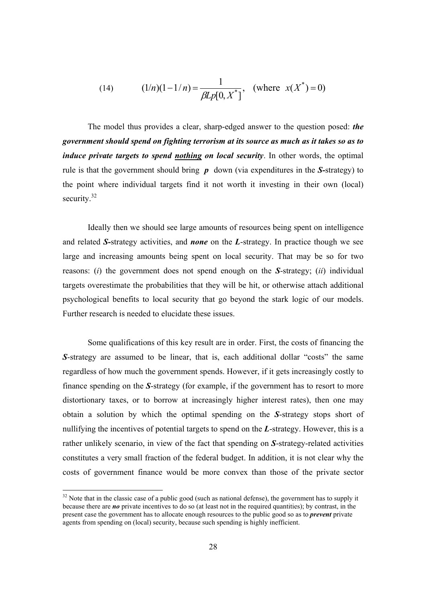(14) 
$$
(1/n)(1-1/n) = \frac{1}{\beta L p[0, X^*]}, \text{ (where } x(X^*) = 0)
$$

The model thus provides a clear, sharp-edged answer to the question posed: *the government should spend on fighting terrorism at its source as much as it takes so as to induce private targets to spend nothing on local security*. In other words, the optimal rule is that the government should bring *p* down (via expenditures in the *S-*strategy) to the point where individual targets find it not worth it investing in their own (local) security.<sup>32</sup>

Ideally then we should see large amounts of resources being spent on intelligence and related *S-*strategy activities, and *none* on the *L*-strategy. In practice though we see large and increasing amounts being spent on local security. That may be so for two reasons: (*i*) the government does not spend enough on the *S*-strategy; (*ii*) individual targets overestimate the probabilities that they will be hit, or otherwise attach additional psychological benefits to local security that go beyond the stark logic of our models. Further research is needed to elucidate these issues.

Some qualifications of this key result are in order. First, the costs of financing the **S**-strategy are assumed to be linear, that is, each additional dollar "costs" the same regardless of how much the government spends. However, if it gets increasingly costly to finance spending on the *S*-strategy (for example, if the government has to resort to more distortionary taxes, or to borrow at increasingly higher interest rates), then one may obtain a solution by which the optimal spending on the *S*-strategy stops short of nullifying the incentives of potential targets to spend on the *L*-strategy. However, this is a rather unlikely scenario, in view of the fact that spending on *S*-strategy-related activities constitutes a very small fraction of the federal budget. In addition, it is not clear why the costs of government finance would be more convex than those of the private sector

l

 $32$  Note that in the classic case of a public good (such as national defense), the government has to supply it because there are *no* private incentives to do so (at least not in the required quantities); by contrast, in the present case the government has to allocate enough resources to the public good so as to *prevent* private agents from spending on (local) security, because such spending is highly inefficient.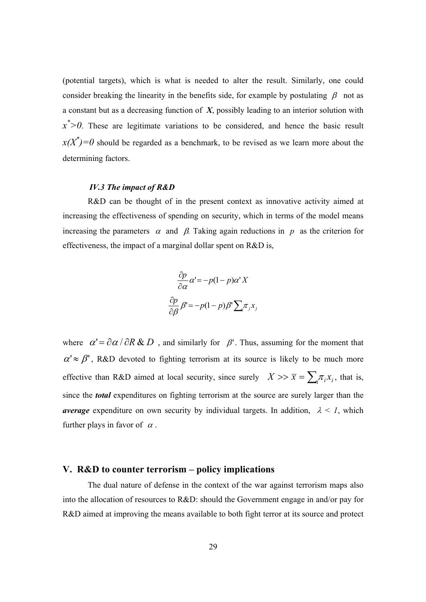(potential targets), which is what is needed to alter the result. Similarly, one could consider breaking the linearity in the benefits side, for example by postulating  $\beta$  not as a constant but as a decreasing function of *X*, possibly leading to an interior solution with  $x^*$  > 0. These are legitimate variations to be considered, and hence the basic result  $x(X^*)=0$  should be regarded as a benchmark, to be revised as we learn more about the determining factors.

#### *IV.3 The impact of R&D*

R&D can be thought of in the present context as innovative activity aimed at increasing the effectiveness of spending on security, which in terms of the model means increasing the parameters  $\alpha$  and  $\beta$ . Taking again reductions in *p* as the criterion for effectiveness, the impact of a marginal dollar spent on R&D is,

$$
\frac{\partial p}{\partial \alpha} \alpha' = -p(1-p)\alpha' X
$$

$$
\frac{\partial p}{\partial \beta} \beta' = -p(1-p)\beta' \sum_{j} \pi_j x_j
$$

where  $\alpha' = \partial \alpha / \partial R \& D$ , and similarly for  $\beta'$ . Thus, assuming for the moment that  $\alpha' \approx \beta'$ , R&D devoted to fighting terrorism at its source is likely to be much more effective than R&D aimed at local security, since surely  $X \gg \bar{x} = \sum_i \pi_i x_i$ , that is, since the *total* expenditures on fighting terrorism at the source are surely larger than the *average* expenditure on own security by individual targets. In addition,  $\lambda \leq 1$ , which further plays in favor of  $\alpha$ .

#### **V. R&D to counter terrorism – policy implications**

The dual nature of defense in the context of the war against terrorism maps also into the allocation of resources to R&D: should the Government engage in and/or pay for R&D aimed at improving the means available to both fight terror at its source and protect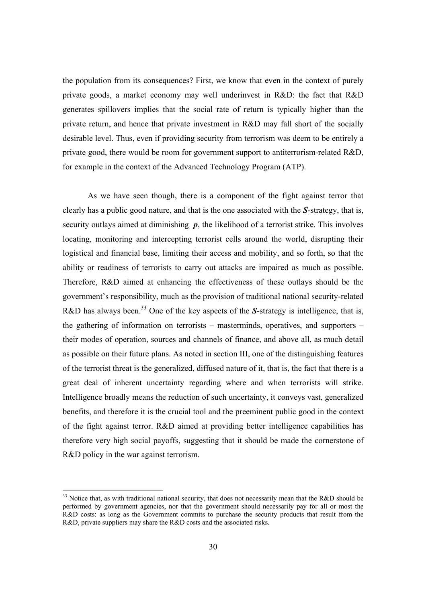the population from its consequences? First, we know that even in the context of purely private goods, a market economy may well underinvest in R&D: the fact that R&D generates spillovers implies that the social rate of return is typically higher than the private return, and hence that private investment in R&D may fall short of the socially desirable level. Thus, even if providing security from terrorism was deem to be entirely a private good, there would be room for government support to antiterrorism-related R&D, for example in the context of the Advanced Technology Program (ATP).

As we have seen though, there is a component of the fight against terror that clearly has a public good nature, and that is the one associated with the *S*-strategy, that is, security outlays aimed at diminishing **p**, the likelihood of a terrorist strike. This involves locating, monitoring and intercepting terrorist cells around the world, disrupting their logistical and financial base, limiting their access and mobility, and so forth, so that the ability or readiness of terrorists to carry out attacks are impaired as much as possible. Therefore, R&D aimed at enhancing the effectiveness of these outlays should be the government's responsibility, much as the provision of traditional national security-related R&D has always been.<sup>33</sup> One of the key aspects of the *S*-strategy is intelligence, that is, the gathering of information on terrorists – masterminds, operatives, and supporters – their modes of operation, sources and channels of finance, and above all, as much detail as possible on their future plans. As noted in section III, one of the distinguishing features of the terrorist threat is the generalized, diffused nature of it, that is, the fact that there is a great deal of inherent uncertainty regarding where and when terrorists will strike. Intelligence broadly means the reduction of such uncertainty, it conveys vast, generalized benefits, and therefore it is the crucial tool and the preeminent public good in the context of the fight against terror. R&D aimed at providing better intelligence capabilities has therefore very high social payoffs, suggesting that it should be made the cornerstone of R&D policy in the war against terrorism.

l

<sup>&</sup>lt;sup>33</sup> Notice that, as with traditional national security, that does not necessarily mean that the R&D should be performed by government agencies, nor that the government should necessarily pay for all or most the R&D costs: as long as the Government commits to purchase the security products that result from the R&D, private suppliers may share the R&D costs and the associated risks.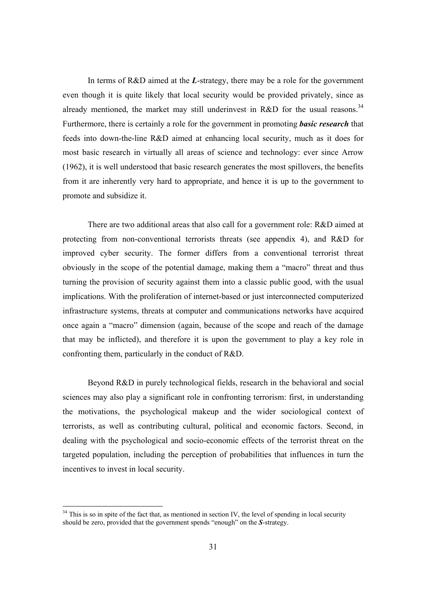In terms of R&D aimed at the *L*-strategy, there may be a role for the government even though it is quite likely that local security would be provided privately, since as already mentioned, the market may still underinvest in R&D for the usual reasons.<sup>34</sup> Furthermore, there is certainly a role for the government in promoting *basic research* that feeds into down-the-line R&D aimed at enhancing local security, much as it does for most basic research in virtually all areas of science and technology: ever since Arrow (1962), it is well understood that basic research generates the most spillovers, the benefits from it are inherently very hard to appropriate, and hence it is up to the government to promote and subsidize it.

There are two additional areas that also call for a government role: R&D aimed at protecting from non-conventional terrorists threats (see appendix 4), and R&D for improved cyber security. The former differs from a conventional terrorist threat obviously in the scope of the potential damage, making them a "macro" threat and thus turning the provision of security against them into a classic public good, with the usual implications. With the proliferation of internet-based or just interconnected computerized infrastructure systems, threats at computer and communications networks have acquired once again a "macro" dimension (again, because of the scope and reach of the damage that may be inflicted), and therefore it is upon the government to play a key role in confronting them, particularly in the conduct of R&D.

Beyond R&D in purely technological fields, research in the behavioral and social sciences may also play a significant role in confronting terrorism: first, in understanding the motivations, the psychological makeup and the wider sociological context of terrorists, as well as contributing cultural, political and economic factors. Second, in dealing with the psychological and socio-economic effects of the terrorist threat on the targeted population, including the perception of probabilities that influences in turn the incentives to invest in local security.

 $34$  This is so in spite of the fact that, as mentioned in section IV, the level of spending in local security should be zero, provided that the government spends "enough" on the *S*-strategy.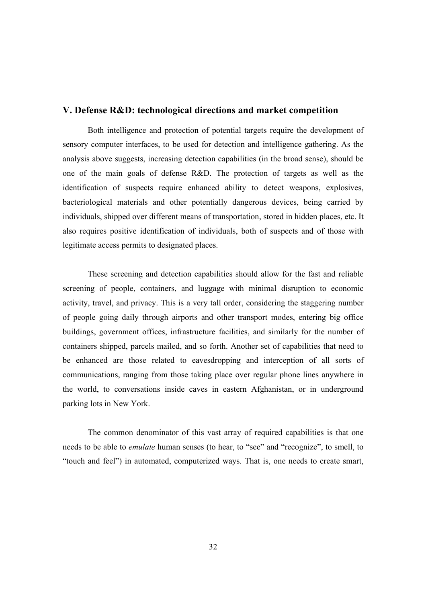### **V. Defense R&D: technological directions and market competition**

 Both intelligence and protection of potential targets require the development of sensory computer interfaces, to be used for detection and intelligence gathering. As the analysis above suggests, increasing detection capabilities (in the broad sense), should be one of the main goals of defense R&D. The protection of targets as well as the identification of suspects require enhanced ability to detect weapons, explosives, bacteriological materials and other potentially dangerous devices, being carried by individuals, shipped over different means of transportation, stored in hidden places, etc. It also requires positive identification of individuals, both of suspects and of those with legitimate access permits to designated places.

These screening and detection capabilities should allow for the fast and reliable screening of people, containers, and luggage with minimal disruption to economic activity, travel, and privacy. This is a very tall order, considering the staggering number of people going daily through airports and other transport modes, entering big office buildings, government offices, infrastructure facilities, and similarly for the number of containers shipped, parcels mailed, and so forth. Another set of capabilities that need to be enhanced are those related to eavesdropping and interception of all sorts of communications, ranging from those taking place over regular phone lines anywhere in the world, to conversations inside caves in eastern Afghanistan, or in underground parking lots in New York.

 The common denominator of this vast array of required capabilities is that one needs to be able to *emulate* human senses (to hear, to "see" and "recognize", to smell, to "touch and feel") in automated, computerized ways. That is, one needs to create smart,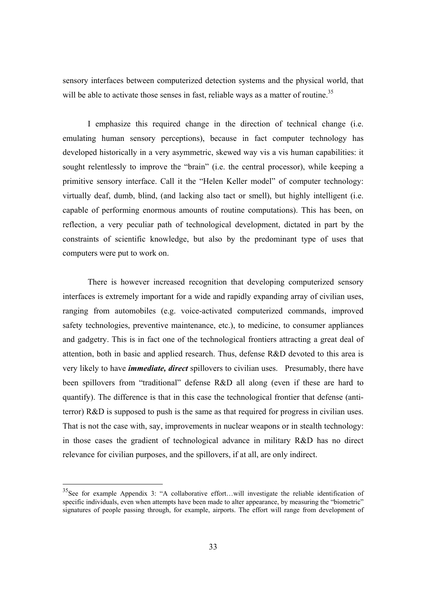sensory interfaces between computerized detection systems and the physical world, that will be able to activate those senses in fast, reliable ways as a matter of routine.<sup>35</sup>

 I emphasize this required change in the direction of technical change (i.e. emulating human sensory perceptions), because in fact computer technology has developed historically in a very asymmetric, skewed way vis a vis human capabilities: it sought relentlessly to improve the "brain" (i.e. the central processor), while keeping a primitive sensory interface. Call it the "Helen Keller model" of computer technology: virtually deaf, dumb, blind, (and lacking also tact or smell), but highly intelligent (i.e. capable of performing enormous amounts of routine computations). This has been, on reflection, a very peculiar path of technological development, dictated in part by the constraints of scientific knowledge, but also by the predominant type of uses that computers were put to work on.

There is however increased recognition that developing computerized sensory interfaces is extremely important for a wide and rapidly expanding array of civilian uses, ranging from automobiles (e.g. voice-activated computerized commands, improved safety technologies, preventive maintenance, etc.), to medicine, to consumer appliances and gadgetry. This is in fact one of the technological frontiers attracting a great deal of attention, both in basic and applied research. Thus, defense R&D devoted to this area is very likely to have *immediate, direct* spillovers to civilian uses. Presumably, there have been spillovers from "traditional" defense R&D all along (even if these are hard to quantify). The difference is that in this case the technological frontier that defense (antiterror) R&D is supposed to push is the same as that required for progress in civilian uses. That is not the case with, say, improvements in nuclear weapons or in stealth technology: in those cases the gradient of technological advance in military R&D has no direct relevance for civilian purposes, and the spillovers, if at all, are only indirect.

<sup>35</sup>See for example Appendix 3: "A collaborative effort…will investigate the reliable identification of specific individuals, even when attempts have been made to alter appearance, by measuring the "biometric" signatures of people passing through, for example, airports. The effort will range from development of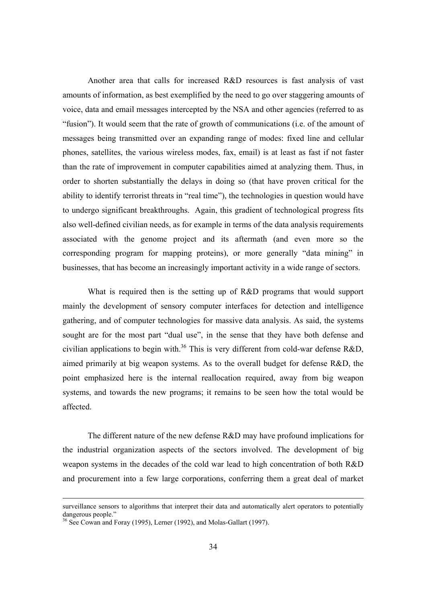Another area that calls for increased R&D resources is fast analysis of vast amounts of information, as best exemplified by the need to go over staggering amounts of voice, data and email messages intercepted by the NSA and other agencies (referred to as "fusion"). It would seem that the rate of growth of communications (i.e. of the amount of messages being transmitted over an expanding range of modes: fixed line and cellular phones, satellites, the various wireless modes, fax, email) is at least as fast if not faster than the rate of improvement in computer capabilities aimed at analyzing them. Thus, in order to shorten substantially the delays in doing so (that have proven critical for the ability to identify terrorist threats in "real time"), the technologies in question would have to undergo significant breakthroughs. Again, this gradient of technological progress fits also well-defined civilian needs, as for example in terms of the data analysis requirements associated with the genome project and its aftermath (and even more so the corresponding program for mapping proteins), or more generally "data mining" in businesses, that has become an increasingly important activity in a wide range of sectors.

What is required then is the setting up of R&D programs that would support mainly the development of sensory computer interfaces for detection and intelligence gathering, and of computer technologies for massive data analysis. As said, the systems sought are for the most part "dual use", in the sense that they have both defense and civilian applications to begin with.<sup>36</sup> This is very different from cold-war defense R&D, aimed primarily at big weapon systems. As to the overall budget for defense R&D, the point emphasized here is the internal reallocation required, away from big weapon systems, and towards the new programs; it remains to be seen how the total would be affected.

The different nature of the new defense R&D may have profound implications for the industrial organization aspects of the sectors involved. The development of big weapon systems in the decades of the cold war lead to high concentration of both R&D and procurement into a few large corporations, conferring them a great deal of market

surveillance sensors to algorithms that interpret their data and automatically alert operators to potentially dangerous people."

<sup>&</sup>lt;sup>36</sup> See Cowan and Foray (1995), Lerner (1992), and Molas-Gallart (1997).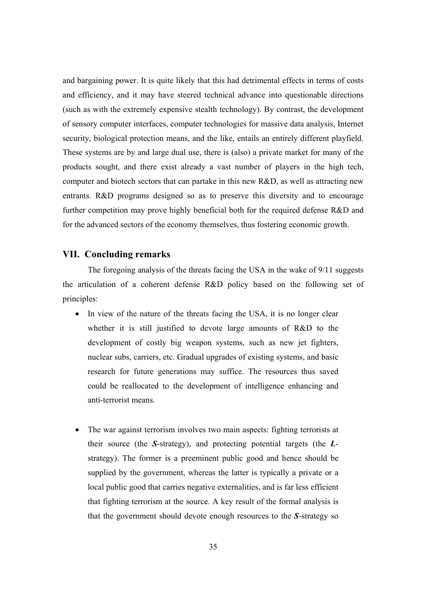and bargaining power. It is quite likely that this had detrimental effects in terms of costs and efficiency, and it may have steered technical advance into questionable directions (such as with the extremely expensive stealth technology). By contrast, the development of sensory computer interfaces, computer technologies for massive data analysis, Internet security, biological protection means, and the like, entails an entirely different playfield. These systems are by and large dual use, there is (also) a private market for many of the products sought, and there exist already a vast number of players in the high tech, computer and biotech sectors that can partake in this new R&D, as well as attracting new entrants. R&D programs designed so as to preserve this diversity and to encourage further competition may prove highly beneficial both for the required defense R&D and for the advanced sectors of the economy themselves, thus fostering economic growth.

#### **VII. Concluding remarks**

 The foregoing analysis of the threats facing the USA in the wake of 9/11 suggests the articulation of a coherent defense R&D policy based on the following set of principles:

- In view of the nature of the threats facing the USA, it is no longer clear whether it is still justified to devote large amounts of R&D to the development of costly big weapon systems, such as new jet fighters, nuclear subs, carriers, etc. Gradual upgrades of existing systems, and basic research for future generations may suffice. The resources thus saved could be reallocated to the development of intelligence enhancing and anti-terrorist means.
- The war against terrorism involves two main aspects: fighting terrorists at their source (the *S*-strategy), and protecting potential targets (the *L*strategy). The former is a preeminent public good and hence should be supplied by the government, whereas the latter is typically a private or a local public good that carries negative externalities, and is far less efficient that fighting terrorism at the source. A key result of the formal analysis is that the government should devote enough resources to the *S*-strategy so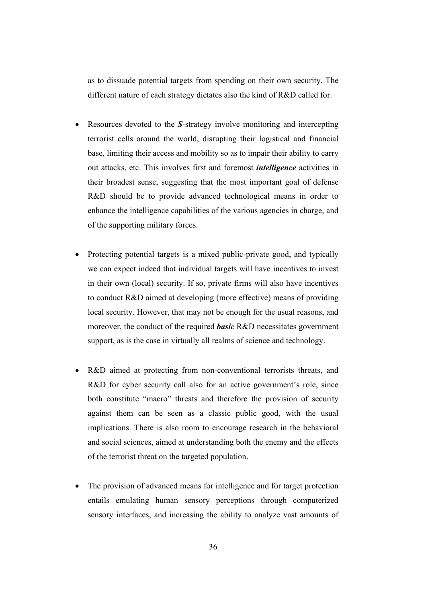as to dissuade potential targets from spending on their own security. The different nature of each strategy dictates also the kind of R&D called for.

- Resources devoted to the *S*-strategy involve monitoring and intercepting terrorist cells around the world, disrupting their logistical and financial base, limiting their access and mobility so as to impair their ability to carry out attacks, etc. This involves first and foremost *intelligence* activities in their broadest sense, suggesting that the most important goal of defense R&D should be to provide advanced technological means in order to enhance the intelligence capabilities of the various agencies in charge, and of the supporting military forces.
- Protecting potential targets is a mixed public-private good, and typically we can expect indeed that individual targets will have incentives to invest in their own (local) security. If so, private firms will also have incentives to conduct R&D aimed at developing (more effective) means of providing local security. However, that may not be enough for the usual reasons, and moreover, the conduct of the required *basic* R&D necessitates government support, as is the case in virtually all realms of science and technology.
- R&D aimed at protecting from non-conventional terrorists threats, and R&D for cyber security call also for an active government's role, since both constitute "macro" threats and therefore the provision of security against them can be seen as a classic public good, with the usual implications. There is also room to encourage research in the behavioral and social sciences, aimed at understanding both the enemy and the effects of the terrorist threat on the targeted population.
- The provision of advanced means for intelligence and for target protection entails emulating human sensory perceptions through computerized sensory interfaces, and increasing the ability to analyze vast amounts of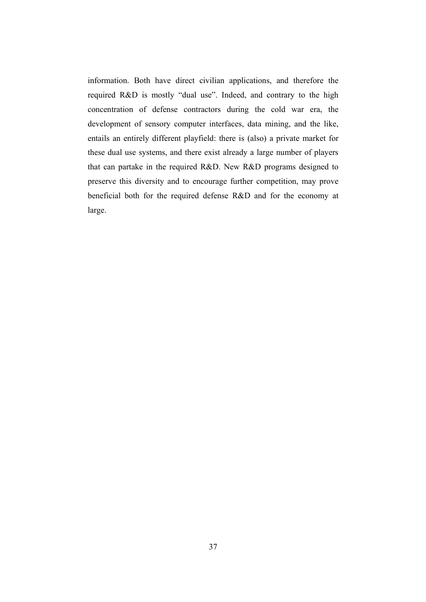information. Both have direct civilian applications, and therefore the required R&D is mostly "dual use". Indeed, and contrary to the high concentration of defense contractors during the cold war era, the development of sensory computer interfaces, data mining, and the like, entails an entirely different playfield: there is (also) a private market for these dual use systems, and there exist already a large number of players that can partake in the required R&D. New R&D programs designed to preserve this diversity and to encourage further competition, may prove beneficial both for the required defense R&D and for the economy at large.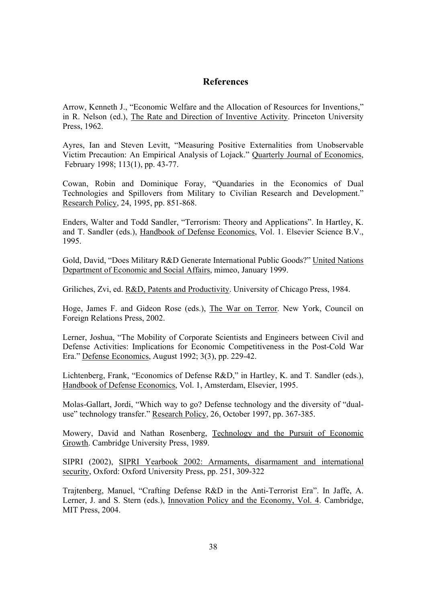## **References**

Arrow, Kenneth J., "Economic Welfare and the Allocation of Resources for Inventions," in R. Nelson (ed.), The Rate and Direction of Inventive Activity. Princeton University Press, 1962.

Ayres, Ian and Steven Levitt, "Measuring Positive Externalities from Unobservable Victim Precaution: An Empirical Analysis of Lojack." Quarterly Journal of Economics, February 1998; 113(1), pp. 43-77.

Cowan, Robin and Dominique Foray, "Quandaries in the Economics of Dual Technologies and Spillovers from Military to Civilian Research and Development." Research Policy, 24, 1995, pp. 851-868.

Enders, Walter and Todd Sandler, "Terrorism: Theory and Applications". In Hartley, K. and T. Sandler (eds.), Handbook of Defense Economics, Vol. 1. Elsevier Science B.V., 1995.

Gold, David, "Does Military R&D Generate International Public Goods?" United Nations Department of Economic and Social Affairs, mimeo, January 1999.

Griliches, Zvi, ed. R&D, Patents and Productivity. University of Chicago Press, 1984.

Hoge, James F. and Gideon Rose (eds.), The War on Terror. New York, Council on Foreign Relations Press, 2002.

Lerner, Joshua, "The Mobility of Corporate Scientists and Engineers between Civil and Defense Activities: Implications for Economic Competitiveness in the Post-Cold War Era." Defense Economics, August 1992; 3(3), pp. 229-42.

Lichtenberg, Frank, "Economics of Defense R&D," in Hartley, K. and T. Sandler (eds.), Handbook of Defense Economics, Vol. 1, Amsterdam, Elsevier, 1995.

Molas-Gallart, Jordi, "Which way to go? Defense technology and the diversity of "dualuse" technology transfer." Research Policy, 26, October 1997, pp. 367-385.

Mowery, David and Nathan Rosenberg, Technology and the Pursuit of Economic Growth. Cambridge University Press, 1989.

SIPRI (2002), SIPRI Yearbook 2002: Armaments, disarmament and international security, Oxford: Oxford University Press, pp. 251, 309-322

Trajtenberg, Manuel, "Crafting Defense R&D in the Anti-Terrorist Era". In Jaffe, A. Lerner, J. and S. Stern (eds.), Innovation Policy and the Economy, Vol. 4. Cambridge, MIT Press, 2004.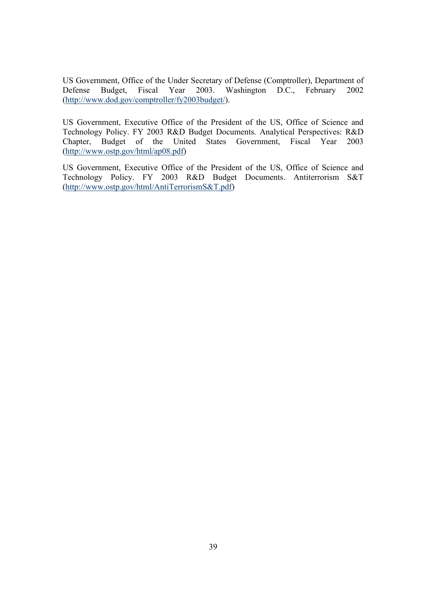US Government, Office of the Under Secretary of Defense (Comptroller), Department of Defense Budget, Fiscal Year 2003. Washington D.C., February 2002 (http://www.dod.gov/comptroller/fy2003budget/).

US Government, Executive Office of the President of the US, Office of Science and Technology Policy. FY 2003 R&D Budget Documents. Analytical Perspectives: R&D Chapter, Budget of the United States Government, Fiscal Year 2003 (http://www.ostp.gov/html/ap08.pdf)

US Government, Executive Office of the President of the US, Office of Science and Technology Policy. FY 2003 R&D Budget Documents. Antiterrorism S&T (http://www.ostp.gov/html/AntiTerrorismS&T.pdf)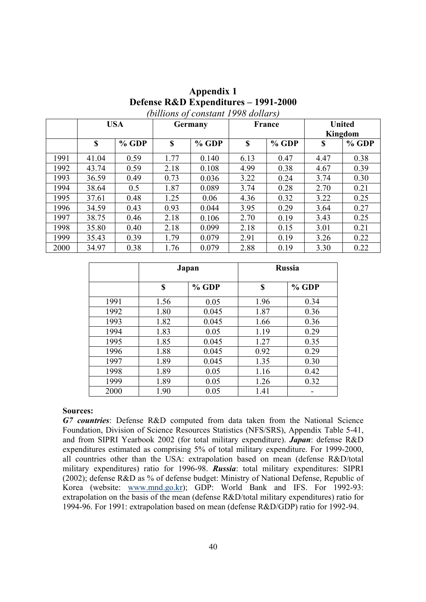| Appendix 1                           |
|--------------------------------------|
| Defense R&D Expenditures – 1991-2000 |
| (billions of constant 1998 dollars)  |

|      |       | <b>USA</b> |      | <b>Germany</b> | France |         | <b>United</b><br>Kingdom |         |
|------|-------|------------|------|----------------|--------|---------|--------------------------|---------|
|      | \$    | $%$ GDP    | \$   | $%$ GDP        | \$     | $%$ GDP | \$                       | $%$ GDP |
| 1991 | 41.04 | 0.59       | 1.77 | 0.140          | 6.13   | 0.47    | 4.47                     | 0.38    |
| 1992 | 43.74 | 0.59       | 2.18 | 0.108          | 4.99   | 0.38    | 4.67                     | 0.39    |
| 1993 | 36.59 | 0.49       | 0.73 | 0.036          | 3.22   | 0.24    | 3.74                     | 0.30    |
| 1994 | 38.64 | 0.5        | 1.87 | 0.089          | 3.74   | 0.28    | 2.70                     | 0.21    |
| 1995 | 37.61 | 0.48       | 1.25 | 0.06           | 4.36   | 0.32    | 3.22                     | 0.25    |
| 1996 | 34.59 | 0.43       | 0.93 | 0.044          | 3.95   | 0.29    | 3.64                     | 0.27    |
| 1997 | 38.75 | 0.46       | 2.18 | 0.106          | 2.70   | 0.19    | 3.43                     | 0.25    |
| 1998 | 35.80 | 0.40       | 2.18 | 0.099          | 2.18   | 0.15    | 3.01                     | 0.21    |
| 1999 | 35.43 | 0.39       | 1.79 | 0.079          | 2.91   | 0.19    | 3.26                     | 0.22    |
| 2000 | 34.97 | 0.38       | 1.76 | 0.079          | 2.88   | 0.19    | 3.30                     | 0.22    |

|      | Japan |         | <b>Russia</b> |       |  |
|------|-------|---------|---------------|-------|--|
|      | \$    | $%$ GDP | \$            | % GDP |  |
| 1991 | 1.56  | 0.05    | 1.96          | 0.34  |  |
| 1992 | 1.80  | 0.045   | 1.87          | 0.36  |  |
| 1993 | 1.82  | 0.045   | 1.66          | 0.36  |  |
| 1994 | 1.83  | 0.05    | 1.19          | 0.29  |  |
| 1995 | 1.85  | 0.045   | 1.27          | 0.35  |  |
| 1996 | 1.88  | 0.045   | 0.92          | 0.29  |  |
| 1997 | 1.89  | 0.045   | 1.35          | 0.30  |  |
| 1998 | 1.89  | 0.05    | 1.16          | 0.42  |  |
| 1999 | 1.89  | 0.05    | 1.26          | 0.32  |  |
| 2000 | 1.90  | 0.05    | 1.41          |       |  |

#### **Sources:**

*G7 countries*: Defense R&D computed from data taken from the National Science Foundation, Division of Science Resources Statistics (NFS/SRS), Appendix Table 5-41, and from SIPRI Yearbook 2002 (for total military expenditure). *Japan*: defense R&D expenditures estimated as comprising 5% of total military expenditure. For 1999-2000, all countries other than the USA: extrapolation based on mean (defense R&D/total military expenditures) ratio for 1996-98. *Russia*: total military expenditures: SIPRI (2002); defense R&D as % of defense budget: Ministry of National Defense, Republic of Korea (website: www.mnd.go.kr); GDP: World Bank and IFS. For 1992-93: extrapolation on the basis of the mean (defense R&D/total military expenditures) ratio for 1994-96. For 1991: extrapolation based on mean (defense R&D/GDP) ratio for 1992-94.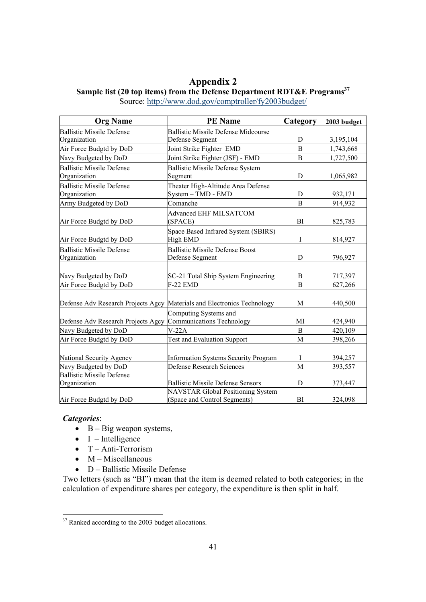## **Appendix 2**  Sample list (20 top items) from the Defense Department RDT&E Programs<sup>37</sup> Source: http://www.dod.gov/comptroller/fy2003budget/

| <b>Org Name</b>                                  | <b>PE</b> Name                                                          | Category       | 2003 budget |  |
|--------------------------------------------------|-------------------------------------------------------------------------|----------------|-------------|--|
| <b>Ballistic Missile Defense</b>                 | <b>Ballistic Missile Defense Midcourse</b>                              |                |             |  |
| Organization                                     | Defense Segment                                                         | D              | 3,195,104   |  |
| Air Force Budgtd by DoD                          | Joint Strike Fighter EMD                                                | $\overline{B}$ | 1,743,668   |  |
| Navy Budgeted by DoD                             | Joint Strike Fighter (JSF) - EMD                                        | B              | 1,727,500   |  |
| <b>Ballistic Missile Defense</b><br>Organization | <b>Ballistic Missile Defense System</b><br>Segment                      | D              | 1,065,982   |  |
| <b>Ballistic Missile Defense</b><br>Organization | Theater High-Altitude Area Defense<br>System - TMD - EMD                | D              | 932,171     |  |
| Army Budgeted by DoD                             | Comanche                                                                | B              | 914,932     |  |
| Air Force Budgtd by DoD                          | <b>Advanced EHF MILSATCOM</b><br>(SPACE)                                | BI             | 825,783     |  |
| Air Force Budgtd by DoD                          | Space Based Infrared System (SBIRS)<br>High EMD                         | I              | 814,927     |  |
| <b>Ballistic Missile Defense</b><br>Organization | <b>Ballistic Missile Defense Boost</b><br>Defense Segment               | D              | 796,927     |  |
| Navy Budgeted by DoD                             | SC-21 Total Ship System Engineering                                     | B              | 717,397     |  |
| Air Force Budgtd by DoD                          | $F-22$ EMD                                                              | $\overline{B}$ | 627,266     |  |
|                                                  | Defense Adv Research Projects Agcy Materials and Electronics Technology | M              | 440,500     |  |
| Defense Adv Research Projects Agcy               | Computing Systems and<br><b>Communications Technology</b>               | MI             | 424,940     |  |
| Navy Budgeted by DoD                             | $V-22A$                                                                 | B              | 420,109     |  |
| Air Force Budgtd by DoD                          | <b>Test and Evaluation Support</b>                                      | M              | 398,266     |  |
| National Security Agency                         | <b>Information Systems Security Program</b>                             | I              | 394,257     |  |
| Navy Budgeted by DoD                             | <b>Defense Research Sciences</b>                                        | M              | 393,557     |  |
| <b>Ballistic Missile Defense</b>                 |                                                                         |                |             |  |
| Organization                                     | <b>Ballistic Missile Defense Sensors</b>                                | D              | 373,447     |  |
| Air Force Budgtd by DoD                          | NAVSTAR Global Positioning System<br>(Space and Control Segments)       | BI             | 324,098     |  |

#### *Categories*:

- $\bullet$  B Big weapon systems,
- $\bullet$  I Intelligence
- $\bullet$  T Anti-Terrorism
- $\bullet$  M Miscellaneous
- D Ballistic Missile Defense

Two letters (such as "BI") mean that the item is deemed related to both categories; in the calculation of expenditure shares per category, the expenditure is then split in half.

<sup>&</sup>lt;sup>37</sup> Ranked according to the 2003 budget allocations.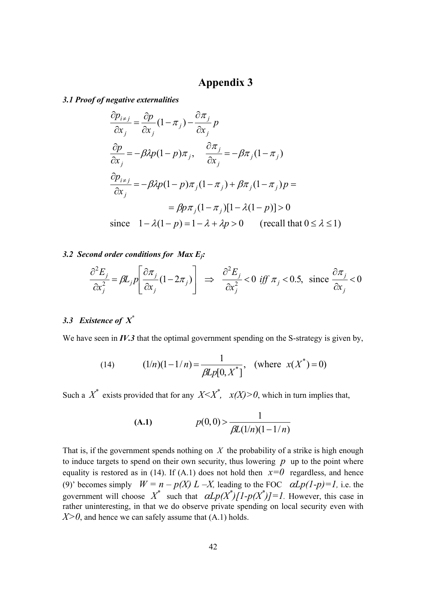## **Appendix 3**

*3.1 Proof of negative externalities* 

$$
\frac{\partial p_{i \neq j}}{\partial x_j} = \frac{\partial p}{\partial x_j} (1 - \pi_j) - \frac{\partial \pi_j}{\partial x_j} p
$$
  
\n
$$
\frac{\partial p}{\partial x_j} = -\beta \lambda p (1 - p) \pi_j, \quad \frac{\partial \pi_j}{\partial x_j} = -\beta \pi_j (1 - \pi_j)
$$
  
\n
$$
\frac{\partial p_{i \neq j}}{\partial x_j} = -\beta \lambda p (1 - p) \pi_j (1 - \pi_j) + \beta \pi_j (1 - \pi_j) p =
$$
  
\n
$$
= \beta p \pi_j (1 - \pi_j) [1 - \lambda (1 - p)] > 0
$$
  
\nsince  $1 - \lambda (1 - p) = 1 - \lambda + \lambda p > 0$  (recall that  $0 \le \lambda \le 1$ )

### *3.2 Second order conditions for Max Ej:*

$$
\frac{\partial^2 E_j}{\partial x_j^2} = \beta L_j p \left[ \frac{\partial \pi_j}{\partial x_j} (1 - 2\pi_j) \right] \implies \frac{\partial^2 E_j}{\partial x_j^2} < 0 \text{ iff } \pi_j < 0.5, \text{ since } \frac{\partial \pi_j}{\partial x_j} < 0
$$

## *3.3 Existence of X\**

We have seen in *IV.3* that the optimal government spending on the S-strategy is given by,

(14) 
$$
(1/n)(1-1/n) = \frac{1}{\beta L p[0, X^*]}, \text{ (where } x(X^*) = 0)
$$

Such a  $X^*$  exists provided that for any  $X \leq X^*$ ,  $x(X) > 0$ , which in turn implies that,

(A.1) 
$$
p(0,0) > \frac{1}{\beta L(1/n)(1-1/n)}
$$

That is, if the government spends nothing on *X* the probability of a strike is high enough to induce targets to spend on their own security, thus lowering  $p$  up to the point where equality is restored as in (14). If (A.1) does not hold then  $x=0$  regardless, and hence (9)' becomes simply  $W = n - p(X) L - X$ , leading to the FOC  $\alpha L p(1-p) = 1$ , i.e. the government will choose  $X^*$  such that  $\alpha L p(X^*)[1-p(X^*)]=1$ . However, this case in rather uninteresting, in that we do observe private spending on local security even with  $X>0$ , and hence we can safely assume that  $(A.1)$  holds.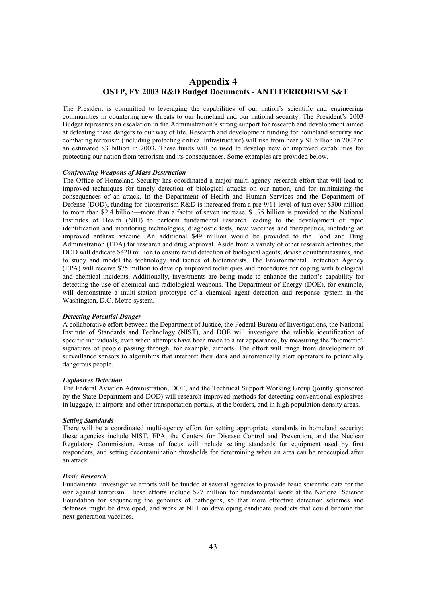## **Appendix 4 OSTP, FY 2003 R&D Budget Documents - ANTITERRORISM S&T**

The President is committed to leveraging the capabilities of our nation's scientific and engineering communities in countering new threats to our homeland and our national security. The President's 2003 Budget represents an escalation in the Administration's strong support for research and development aimed at defeating these dangers to our way of life. Research and development funding for homeland security and combating terrorism (including protecting critical infrastructure) will rise from nearly \$1 billion in 2002 to an estimated \$3 billion in 2003**.** These funds will be used to develop new or improved capabilities for protecting our nation from terrorism and its consequences. Some examples are provided below.

#### *Confronting Weapons of Mass Destruction*

The Office of Homeland Security has coordinated a major multi-agency research effort that will lead to improved techniques for timely detection of biological attacks on our nation, and for minimizing the consequences of an attack. In the Department of Health and Human Services and the Department of Defense (DOD), funding for bioterrorism R&D is increased from a pre-9/11 level of just over \$300 million to more than \$2.4 billion—more than a factor of seven increase. \$1.75 billion is provided to the National Institutes of Health (NIH) to perform fundamental research leading to the development of rapid identification and monitoring technologies, diagnostic tests, new vaccines and therapeutics, including an improved anthrax vaccine. An additional \$49 million would be provided to the Food and Drug Administration (FDA) for research and drug approval. Aside from a variety of other research activities, the DOD will dedicate \$420 million to ensure rapid detection of biological agents, devise countermeasures, and to study and model the technology and tactics of bioterrorists. The Environmental Protection Agency (EPA) will receive \$75 million to develop improved techniques and procedures for coping with biological and chemical incidents. Additionally, investments are being made to enhance the nation's capability for detecting the use of chemical and radiological weapons. The Department of Energy (DOE), for example, will demonstrate a multi-station prototype of a chemical agent detection and response system in the Washington, D.C. Metro system.

#### *Detecting Potential Danger*

A collaborative effort between the Department of Justice, the Federal Bureau of Investigations, the National Institute of Standards and Technology (NIST), and DOE will investigate the reliable identification of specific individuals, even when attempts have been made to alter appearance, by measuring the "biometric" signatures of people passing through, for example, airports. The effort will range from development of surveillance sensors to algorithms that interpret their data and automatically alert operators to potentially dangerous people.

#### *Explosives Detection*

The Federal Aviation Administration, DOE, and the Technical Support Working Group (jointly sponsored by the State Department and DOD) will research improved methods for detecting conventional explosives in luggage, in airports and other transportation portals, at the borders, and in high population density areas.

#### *Setting Standards*

There will be a coordinated multi-agency effort for setting appropriate standards in homeland security; these agencies include NIST, EPA, the Centers for Disease Control and Prevention, and the Nuclear Regulatory Commission. Areas of focus will include setting standards for equipment used by first responders, and setting decontamination thresholds for determining when an area can be reoccupied after an attack.

#### *Basic Research*

Fundamental investigative efforts will be funded at several agencies to provide basic scientific data for the war against terrorism. These efforts include \$27 million for fundamental work at the National Science Foundation for sequencing the genomes of pathogens, so that more effective detection schemes and defenses might be developed, and work at NIH on developing candidate products that could become the next generation vaccines.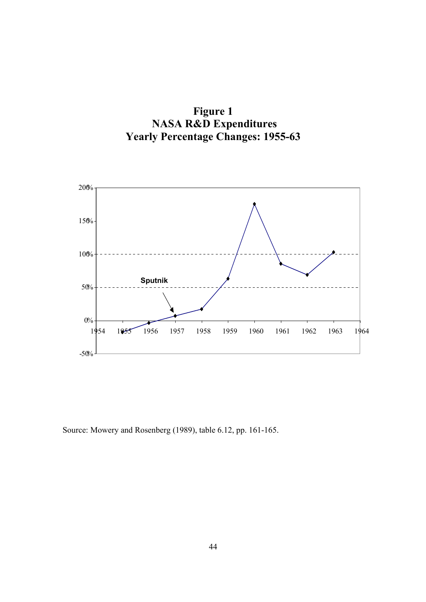



Source: Mowery and Rosenberg (1989), table 6.12, pp. 161-165.